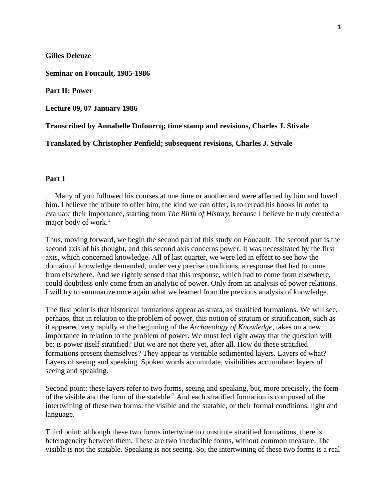**Gilles Deleuze**

**Seminar on Foucault, 1985-1986**

**Part II: Power**

**Lecture 09, 07 January 1986**

**Transcribed by Annabelle Dufourcq; time stamp and revisions, Charles J. Stivale**

**Translated by Christopher Penfield; subsequent revisions, Charles J. Stivale**

### **Part 1**

… Many of you followed his courses at one time or another and were affected by him and loved him. I believe the tribute to offer him, the kind we can offer, is to reread his books in order to evaluate their importance, starting from *The Birth of History*, because I believe he truly created a major body of work. $<sup>1</sup>$ </sup>

Thus, moving forward, we begin the second part of this study on Foucault. The second part is the second axis of his thought, and this second axis concerns power. It was necessitated by the first axis, which concerned knowledge. All of last quarter, we were led in effect to see how the domain of knowledge demanded, under very precise conditions, a response that had to come from elsewhere. And we rightly sensed that this response, which had to come from elsewhere, could doubtless only come from an analytic of power. Only from an analysis of power relations. I will try to summarize once again what we learned from the previous analysis of knowledge.

The first point is that historical formations appear as strata, as stratified formations. We will see, perhaps, that in relation to the problem of power, this notion of stratum or stratification, such as it appeared very rapidly at the beginning of the *Archaeology of Knowledge*, takes on a new importance in relation to the problem of power. We must feel right away that the question will be: is power itself stratified? But we are not there yet, after all. How do these stratified formations present themselves? They appear as veritable sedimented layers. Layers of what? Layers of seeing and speaking. Spoken words accumulate, visibilities accumulate: layers of seeing and speaking.

Second point: these layers refer to two forms, seeing and speaking, but, more precisely, the form of the visible and the form of the statable. <sup>2</sup> And each stratified formation is composed of the intertwining of these two forms: the visible and the statable, or their formal conditions, light and language.

Third point: although these two forms intertwine to constitute stratified formations, there is heterogeneity between them. These are two irreducible forms, without common measure. The visible is not the statable. Speaking is not seeing. So, the intertwining of these two forms is a real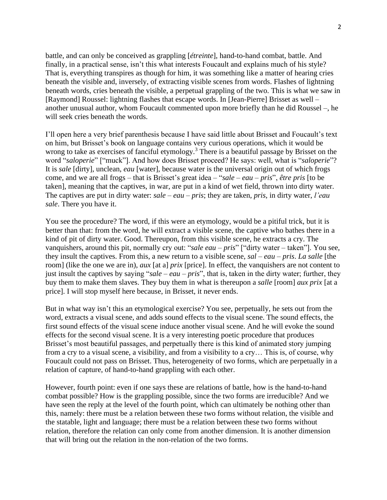battle, and can only be conceived as grappling [*étreinte*], hand-to-hand combat, battle. And finally, in a practical sense, isn't this what interests Foucault and explains much of his style? That is, everything transpires as though for him, it was something like a matter of hearing cries beneath the visible and, inversely, of extracting visible scenes from words. Flashes of lightning beneath words, cries beneath the visible, a perpetual grappling of the two. This is what we saw in [Raymond] Roussel: lightning flashes that escape words. In [Jean-Pierre] Brisset as well – another unusual author, whom Foucault commented upon more briefly than he did Roussel –, he will seek cries beneath the words.

I'll open here a very brief parenthesis because I have said little about Brisset and Foucault's text on him, but Brisset's book on language contains very curious operations, which it would be wrong to take as exercises of fanciful etymology.<sup>3</sup> There is a beautiful passage by Brisset on the word "*saloperie*" ["muck"]. And how does Brisset proceed? He says: well, what is "*saloperie*"? It is *sale* [dirty], unclean, *eau* [water], because water is the universal origin out of which frogs come, and we are all frogs – that is Brisset's great idea – "*sale – eau – pris*", *être pris* [to be taken], meaning that the captives, in war, are put in a kind of wet field, thrown into dirty water. The captives are put in dirty water: *sale – eau – pris*; they are taken, *pris*, in dirty water, *l'eau sale*. There you have it.

You see the procedure? The word, if this were an etymology, would be a pitiful trick, but it is better than that: from the word, he will extract a visible scene, the captive who bathes there in a kind of pit of dirty water. Good. Thereupon, from this visible scene, he extracts a cry. The vanquishers, around this pit, normally cry out: "*sale eau – pris*" ["dirty water – taken"]. You see, they insult the captives. From this, a new return to a visible scene, *sal – eau – pris*. *La salle* [the room] (like the one we are in), *aux* [at a] *prix* [price]. In effect, the vanquishers are not content to just insult the captives by saying "*sale – eau – pris*", that is, taken in the dirty water; further, they buy them to make them slaves. They buy them in what is thereupon a *salle* [room] *aux prix* [at a price]. I will stop myself here because, in Brisset, it never ends.

But in what way isn't this an etymological exercise? You see, perpetually, he sets out from the word, extracts a visual scene, and adds sound effects to the visual scene. The sound effects, the first sound effects of the visual scene induce another visual scene. And he will evoke the sound effects for the second visual scene. It is a very interesting poetic procedure that produces Brisset's most beautiful passages, and perpetually there is this kind of animated story jumping from a cry to a visual scene, a visibility, and from a visibility to a cry… This is, of course, why Foucault could not pass on Brisset. Thus, heterogeneity of two forms, which are perpetually in a relation of capture, of hand-to-hand grappling with each other.

However, fourth point: even if one says these are relations of battle, how is the hand-to-hand combat possible? How is the grappling possible, since the two forms are irreducible? And we have seen the reply at the level of the fourth point, which can ultimately be nothing other than this, namely: there must be a relation between these two forms without relation, the visible and the statable, light and language; there must be a relation between these two forms without relation, therefore the relation can only come from another dimension. It is another dimension that will bring out the relation in the non-relation of the two forms.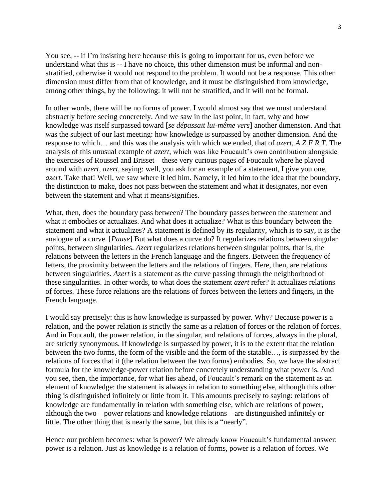You see,  $-$  if I'm insisting here because this is going to important for us, even before we understand what this is -- I have no choice, this other dimension must be informal and nonstratified, otherwise it would not respond to the problem. It would not be a response. This other dimension must differ from that of knowledge, and it must be distinguished from knowledge, among other things, by the following: it will not be stratified, and it will not be formal.

In other words, there will be no forms of power. I would almost say that we must understand abstractly before seeing concretely. And we saw in the last point, in fact, why and how knowledge was itself surpassed toward [*se dépassait lui-même vers*] another dimension. And that was the subject of our last meeting: how knowledge is surpassed by another dimension. And the response to which… and this was the analysis with which we ended, that of *azert*, *A Z E R T*. The analysis of this unusual example of *azert*, which was like Foucault's own contribution alongside the exercises of Roussel and Brisset – these very curious pages of Foucault where he played around with *azert*, *azert*, saying: well, you ask for an example of a statement, I give you one, *azert*. Take that! Well, we saw where it led him. Namely, it led him to the idea that the boundary, the distinction to make, does not pass between the statement and what it designates, nor even between the statement and what it means/signifies.

What, then, does the boundary pass between? The boundary passes between the statement and what it embodies or actualizes. And what does it actualize? What is this boundary between the statement and what it actualizes? A statement is defined by its regularity, which is to say, it is the analogue of a curve. [*Pause*] But what does a curve do? It regularizes relations between singular points, between singularities. *Azert* regularizes relations between singular points, that is, the relations between the letters in the French language and the fingers. Between the frequency of letters, the proximity between the letters and the relations of fingers. Here, then, are relations between singularities. *Azert* is a statement as the curve passing through the neighborhood of these singularities. In other words, to what does the statement *azert* refer? It actualizes relations of forces. These force relations are the relations of forces between the letters and fingers, in the French language.

I would say precisely: this is how knowledge is surpassed by power. Why? Because power is a relation, and the power relation is strictly the same as a relation of forces or the relation of forces. And in Foucault, the power relation, in the singular, and relations of forces, always in the plural, are strictly synonymous. If knowledge is surpassed by power, it is to the extent that the relation between the two forms, the form of the visible and the form of the statable…, is surpassed by the relations of forces that it (the relation between the two forms) embodies. So, we have the abstract formula for the knowledge-power relation before concretely understanding what power is. And you see, then, the importance, for what lies ahead, of Foucault's remark on the statement as an element of knowledge: the statement is always in relation to something else, although this other thing is distinguished infinitely or little from it. This amounts precisely to saying: relations of knowledge are fundamentally in relation with something else, which are relations of power, although the two – power relations and knowledge relations – are distinguished infinitely or little. The other thing that is nearly the same, but this is a "nearly".

Hence our problem becomes: what is power? We already know Foucault's fundamental answer: power is a relation. Just as knowledge is a relation of forms, power is a relation of forces. We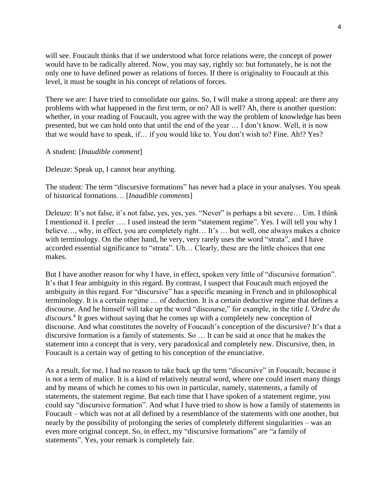will see. Foucault thinks that if we understood what force relations were, the concept of power would have to be radically altered. Now, you may say, rightly so: but fortunately, he is not the only one to have defined power as relations of forces. If there is originality to Foucault at this level, it must be sought in his concept of relations of forces.

There we are: I have tried to consolidate our gains. So, I will make a strong appeal: are there any problems with what happened in the first term, or no? All is well? Ah, there is another question: whether, in your reading of Foucault, you agree with the way the problem of knowledge has been presented, but we can hold onto that until the end of the year … I don't know. Well, it is now that we would have to speak, if… if you would like to. You don't wish to? Fine. Ah!? Yes?

# A student: [*Inaudible comment*]

Deleuze: Speak up, I cannot hear anything.

The student: The term "discursive formations" has never had a place in your analyses. You speak of historical formations… [*Inaudible comments*]

Deleuze: It's not false, it's not false, yes, yes, yes. "Never" is perhaps a bit severe… Um. I think I mentioned it. I prefer …. I used instead the term "statement regime". Yes. I will tell you why I believe..., why, in effect, you are completely right... It's ... but well, one always makes a choice with terminology. On the other hand, he very, very rarely uses the word "strata", and I have accorded essential significance to "strata". Uh… Clearly, these are the little choices that one makes.

But I have another reason for why I have, in effect, spoken very little of "discursive formation". It's that I fear ambiguity in this regard. By contrast, I suspect that Foucault much enjoyed the ambiguity in this regard. For "discursive" has a specific meaning in French and in philosophical terminology. It is a certain regime … of deduction. It is a certain deductive regime that defines a discourse. And he himself will take up the word "discourse," for example, in the title *L'Ordre du discours.*<sup>4</sup> It goes without saying that he comes up with a completely new conception of discourse. And what constitutes the novelty of Foucault's conception of the discursive? It's that a discursive formation is a family of statements. So … It can be said at once that he makes the statement into a concept that is very, very paradoxical and completely new. Discursive, then, in Foucault is a certain way of getting to his conception of the enunciative.

As a result, for me, I had no reason to take back up the term "discursive" in Foucault, because it is not a term of malice. It is a kind of relatively neutral word, where one could insert many things and by means of which he comes to his own in particular, namely, statements, a family of statements, the statement regime. But each time that I have spoken of a statement regime, you could say "discursive formation". And what I have tried to show is how a family of statements in Foucault – which was not at all defined by a resemblance of the statements with one another, but nearly by the possibility of prolonging the series of completely different singularities – was an even more original concept. So, in effect, my "discursive formations" are "a family of statements". Yes, your remark is completely fair.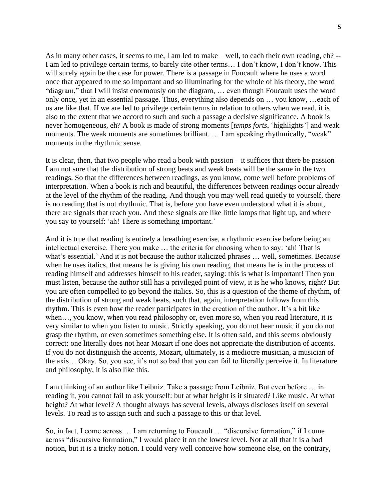As in many other cases, it seems to me, I am led to make – well, to each their own reading, eh? -- I am led to privilege certain terms, to barely cite other terms… I don't know, I don't know. This will surely again be the case for power. There is a passage in Foucault where he uses a word once that appeared to me so important and so illuminating for the whole of his theory, the word "diagram," that I will insist enormously on the diagram, … even though Foucault uses the word only once, yet in an essential passage. Thus, everything also depends on … you know, …each of us are like that. If we are led to privilege certain terms in relation to others when we read, it is also to the extent that we accord to such and such a passage a decisive significance. A book is never homogeneous, eh? A book is made of strong moments [*temps forts*, 'highlights'] and weak moments. The weak moments are sometimes brilliant. ... I am speaking rhythmically, "weak" moments in the rhythmic sense.

It is clear, then, that two people who read a book with passion – it suffices that there be passion – I am not sure that the distribution of strong beats and weak beats will be the same in the two readings. So that the differences between readings, as you know, come well before problems of interpretation. When a book is rich and beautiful, the differences between readings occur already at the level of the rhythm of the reading. And though you may well read quietly to yourself, there is no reading that is not rhythmic. That is, before you have even understood what it is about, there are signals that reach you. And these signals are like little lamps that light up, and where you say to yourself: 'ah! There is something important.'

And it is true that reading is entirely a breathing exercise, a rhythmic exercise before being an intellectual exercise. There you make … the criteria for choosing when to say: 'ah! That is what's essential.' And it is not because the author italicized phrases … well, sometimes. Because when he uses italics, that means he is giving his own reading, that means he is in the process of reading himself and addresses himself to his reader, saying: this is what is important! Then you must listen, because the author still has a privileged point of view, it is he who knows, right? But you are often compelled to go beyond the italics. So, this is a question of the theme of rhythm, of the distribution of strong and weak beats, such that, again, interpretation follows from this rhythm. This is even how the reader participates in the creation of the author. It's a bit like when…, you know, when you read philosophy or, even more so, when you read literature, it is very similar to when you listen to music. Strictly speaking, you do not hear music if you do not grasp the rhythm, or even sometimes something else. It is often said, and this seems obviously correct: one literally does not hear Mozart if one does not appreciate the distribution of accents. If you do not distinguish the accents, Mozart, ultimately, is a mediocre musician, a musician of the axis… Okay. So, you see, it's not so bad that you can fail to literally perceive it. In literature and philosophy, it is also like this.

I am thinking of an author like Leibniz. Take a passage from Leibniz. But even before … in reading it, you cannot fail to ask yourself: but at what height is it situated? Like music. At what height? At what level? A thought always has several levels, always discloses itself on several levels. To read is to assign such and such a passage to this or that level.

So, in fact, I come across … I am returning to Foucault … "discursive formation," if I come across "discursive formation," I would place it on the lowest level. Not at all that it is a bad notion, but it is a tricky notion. I could very well conceive how someone else, on the contrary,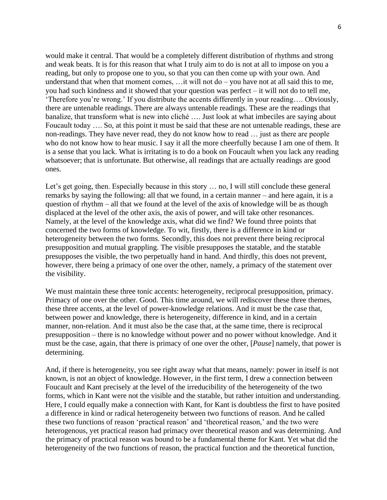would make it central. That would be a completely different distribution of rhythms and strong and weak beats. It is for this reason that what I truly aim to do is not at all to impose on you a reading, but only to propose one to you, so that you can then come up with your own. And understand that when that moment comes,  $\ldots$  it will not do – you have not at all said this to me, you had such kindness and it showed that your question was perfect – it will not do to tell me, 'Therefore you're wrong.' If you distribute the accents differently in your reading…. Obviously, there are untenable readings. There are always untenable readings. These are the readings that banalize, that transform what is new into cliché …. Just look at what imbeciles are saying about Foucault today …. So, at this point it must be said that these are not untenable readings, these are non-readings. They have never read, they do not know how to read … just as there are people who do not know how to hear music. I say it all the more cheerfully because I am one of them. It is a sense that you lack. What is irritating is to do a book on Foucault when you lack any reading whatsoever; that is unfortunate. But otherwise, all readings that are actually readings are good ones.

Let's get going, then. Especially because in this story ... no, I will still conclude these general remarks by saying the following: all that we found, in a certain manner – and here again, it is a question of rhythm – all that we found at the level of the axis of knowledge will be as though displaced at the level of the other axis, the axis of power, and will take other resonances. Namely, at the level of the knowledge axis, what did we find? We found three points that concerned the two forms of knowledge. To wit, firstly, there is a difference in kind or heterogeneity between the two forms. Secondly, this does not prevent there being reciprocal presupposition and mutual grappling. The visible presupposes the statable, and the statable presupposes the visible, the two perpetually hand in hand. And thirdly, this does not prevent, however, there being a primacy of one over the other, namely, a primacy of the statement over the visibility.

We must maintain these three tonic accents: heterogeneity, reciprocal presupposition, primacy. Primacy of one over the other. Good. This time around, we will rediscover these three themes, these three accents, at the level of power-knowledge relations. And it must be the case that, between power and knowledge, there is heterogeneity, difference in kind, and in a certain manner, non-relation. And it must also be the case that, at the same time, there is reciprocal presupposition – there is no knowledge without power and no power without knowledge. And it must be the case, again, that there is primacy of one over the other, [*Pause*] namely, that power is determining.

And, if there is heterogeneity, you see right away what that means, namely: power in itself is not known, is not an object of knowledge. However, in the first term, I drew a connection between Foucault and Kant precisely at the level of the irreducibility of the heterogeneity of the two forms, which in Kant were not the visible and the statable, but rather intuition and understanding. Here, I could equally make a connection with Kant, for Kant is doubtless the first to have posited a difference in kind or radical heterogeneity between two functions of reason. And he called these two functions of reason 'practical reason' and 'theoretical reason,' and the two were heterogenous, yet practical reason had primacy over theoretical reason and was determining. And the primacy of practical reason was bound to be a fundamental theme for Kant. Yet what did the heterogeneity of the two functions of reason, the practical function and the theoretical function,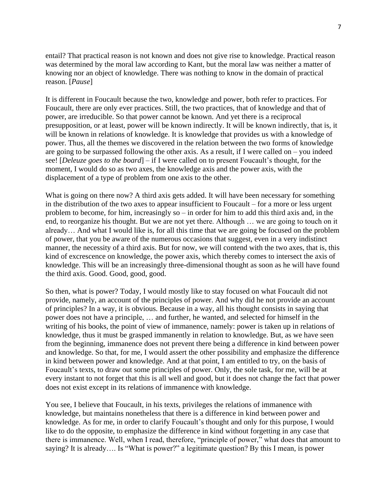entail? That practical reason is not known and does not give rise to knowledge. Practical reason was determined by the moral law according to Kant, but the moral law was neither a matter of knowing nor an object of knowledge. There was nothing to know in the domain of practical reason. [*Pause*]

It is different in Foucault because the two, knowledge and power, both refer to practices. For Foucault, there are only ever practices. Still, the two practices, that of knowledge and that of power, are irreducible. So that power cannot be known. And yet there is a reciprocal presupposition, or at least, power will be known indirectly. It will be known indirectly, that is, it will be known in relations of knowledge. It is knowledge that provides us with a knowledge of power. Thus, all the themes we discovered in the relation between the two forms of knowledge are going to be surpassed following the other axis. As a result, if I were called on – you indeed see! [*Deleuze goes to the board*] – if I were called on to present Foucault's thought, for the moment, I would do so as two axes, the knowledge axis and the power axis, with the displacement of a type of problem from one axis to the other.

What is going on there now? A third axis gets added. It will have been necessary for something in the distribution of the two axes to appear insufficient to Foucault – for a more or less urgent problem to become, for him, increasingly so – in order for him to add this third axis and, in the end, to reorganize his thought. But we are not yet there. Although … we are going to touch on it already… And what I would like is, for all this time that we are going be focused on the problem of power, that you be aware of the numerous occasions that suggest, even in a very indistinct manner, the necessity of a third axis. But for now, we will contend with the two axes, that is, this kind of excrescence on knowledge, the power axis, which thereby comes to intersect the axis of knowledge. This will be an increasingly three-dimensional thought as soon as he will have found the third axis. Good. Good, good, good.

So then, what is power? Today, I would mostly like to stay focused on what Foucault did not provide, namely, an account of the principles of power. And why did he not provide an account of principles? In a way, it is obvious. Because in a way, all his thought consists in saying that power does not have a principle, … and further, he wanted, and selected for himself in the writing of his books, the point of view of immanence, namely: power is taken up in relations of knowledge, thus it must be grasped immanently in relation to knowledge. But, as we have seen from the beginning, immanence does not prevent there being a difference in kind between power and knowledge. So that, for me, I would assert the other possibility and emphasize the difference in kind between power and knowledge. And at that point, I am entitled to try, on the basis of Foucault's texts, to draw out some principles of power. Only, the sole task, for me, will be at every instant to not forget that this is all well and good, but it does not change the fact that power does not exist except in its relations of immanence with knowledge.

You see, I believe that Foucault, in his texts, privileges the relations of immanence with knowledge, but maintains nonetheless that there is a difference in kind between power and knowledge. As for me, in order to clarify Foucault's thought and only for this purpose, I would like to do the opposite, to emphasize the difference in kind without forgetting in any case that there is immanence. Well, when I read, therefore, "principle of power," what does that amount to saying? It is already…. Is "What is power?" a legitimate question? By this I mean, is power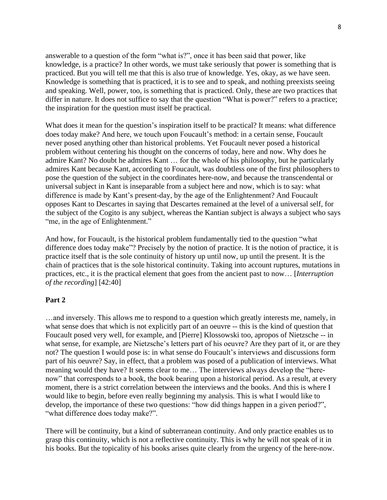answerable to a question of the form "what is?", once it has been said that power, like knowledge, is a practice? In other words, we must take seriously that power is something that is practiced. But you will tell me that this is also true of knowledge. Yes, okay, as we have seen. Knowledge is something that is practiced, it is to see and to speak, and nothing preexists seeing and speaking. Well, power, too, is something that is practiced. Only, these are two practices that differ in nature. It does not suffice to say that the question "What is power?" refers to a practice; the inspiration for the question must itself be practical.

What does it mean for the question's inspiration itself to be practical? It means: what difference does today make? And here, we touch upon Foucault's method: in a certain sense, Foucault never posed anything other than historical problems. Yet Foucault never posed a historical problem without centering his thought on the concerns of today, here and now. Why does he admire Kant? No doubt he admires Kant … for the whole of his philosophy, but he particularly admires Kant because Kant, according to Foucault, was doubtless one of the first philosophers to pose the question of the subject in the coordinates here-now, and because the transcendental or universal subject in Kant is inseparable from a subject here and now, which is to say: what difference is made by Kant's present-day, by the age of the Enlightenment? And Foucault opposes Kant to Descartes in saying that Descartes remained at the level of a universal self, for the subject of the Cogito is any subject, whereas the Kantian subject is always a subject who says "me, in the age of Enlightenment."

And how, for Foucault, is the historical problem fundamentally tied to the question "what difference does today make"? Precisely by the notion of practice. It is the notion of practice, it is practice itself that is the sole continuity of history up until now, up until the present. It is the chain of practices that is the sole historical continuity. Taking into account ruptures, mutations in practices, etc., it is the practical element that goes from the ancient past to now… [*Interruption of the recording*] [42:40]

### **Part 2**

…and inversely. This allows me to respond to a question which greatly interests me, namely, in what sense does that which is not explicitly part of an oeuvre -- this is the kind of question that Foucault posed very well, for example, and [Pierre] Klossowski too, apropos of Nietzsche -- in what sense, for example, are Nietzsche's letters part of his oeuvre? Are they part of it, or are they not? The question I would pose is: in what sense do Foucault's interviews and discussions form part of his oeuvre? Say, in effect, that a problem was posed of a publication of interviews. What meaning would they have? It seems clear to me… The interviews always develop the "herenow" that corresponds to a book, the book bearing upon a historical period. As a result, at every moment, there is a strict correlation between the interviews and the books. And this is where I would like to begin, before even really beginning my analysis. This is what I would like to develop, the importance of these two questions: "how did things happen in a given period?", "what difference does today make?".

There will be continuity, but a kind of subterranean continuity. And only practice enables us to grasp this continuity, which is not a reflective continuity. This is why he will not speak of it in his books. But the topicality of his books arises quite clearly from the urgency of the here-now.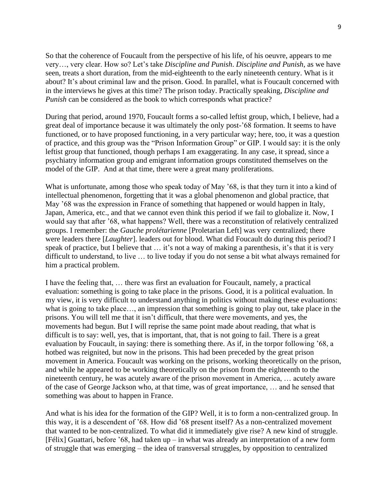So that the coherence of Foucault from the perspective of his life, of his oeuvre, appears to me very…, very clear. How so? Let's take *Discipline and Punish*. *Discipline and Punish*, as we have seen, treats a short duration, from the mid-eighteenth to the early nineteenth century. What is it about? It's about criminal law and the prison. Good. In parallel, what is Foucault concerned with in the interviews he gives at this time? The prison today. Practically speaking, *Discipline and Punish* can be considered as the book to which corresponds what practice?

During that period, around 1970, Foucault forms a so-called leftist group, which, I believe, had a great deal of importance because it was ultimately the only post-'68 formation. It seems to have functioned, or to have proposed functioning, in a very particular way; here, too, it was a question of practice, and this group was the "Prison Information Group" or GIP. I would say: it is the only leftist group that functioned, though perhaps I am exaggerating. In any case, it spread, since a psychiatry information group and emigrant information groups constituted themselves on the model of the GIP. And at that time, there were a great many proliferations.

What is unfortunate, among those who speak today of May '68, is that they turn it into a kind of intellectual phenomenon, forgetting that it was a global phenomenon and global practice, that May '68 was the expression in France of something that happened or would happen in Italy, Japan, America, etc., and that we cannot even think this period if we fail to globalize it. Now, I would say that after '68, what happens? Well, there was a reconstitution of relatively centralized groups. I remember: the *Gauche prolétarienne* [Proletarian Left] was very centralized; there were leaders there [*Laughter*]. leaders out for blood. What did Foucault do during this period? I speak of practice, but I believe that ... it's not a way of making a parenthesis, it's that it is very difficult to understand, to live … to live today if you do not sense a bit what always remained for him a practical problem.

I have the feeling that, … there was first an evaluation for Foucault, namely, a practical evaluation: something is going to take place in the prisons. Good, it is a political evaluation. In my view, it is very difficult to understand anything in politics without making these evaluations: what is going to take place…, an impression that something is going to play out, take place in the prisons. You will tell me that it isn't difficult, that there were movements, and yes, the movements had begun. But I will reprise the same point made about reading, that what is difficult is to say: well, yes, that is important, that, that is not going to fail. There is a great evaluation by Foucault, in saying: there is something there. As if, in the torpor following '68, a hotbed was reignited, but now in the prisons. This had been preceded by the great prison movement in America. Foucault was working on the prisons, working theoretically on the prison, and while he appeared to be working theoretically on the prison from the eighteenth to the nineteenth century, he was acutely aware of the prison movement in America, … acutely aware of the case of George Jackson who, at that time, was of great importance, … and he sensed that something was about to happen in France.

And what is his idea for the formation of the GIP? Well, it is to form a non-centralized group. In this way, it is a descendent of '68. How did '68 present itself? As a non-centralized movement that wanted to be non-centralized. To what did it immediately give rise? A new kind of struggle. [Félix] Guattari, before '68, had taken up – in what was already an interpretation of a new form of struggle that was emerging – the idea of transversal struggles, by opposition to centralized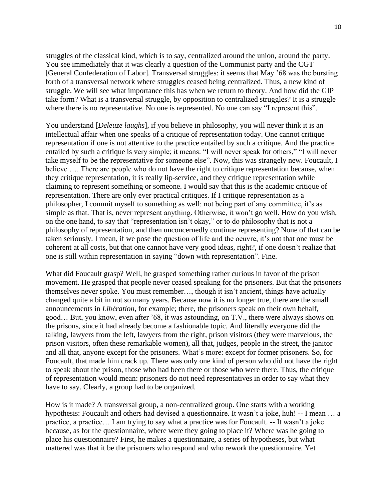struggles of the classical kind, which is to say, centralized around the union, around the party. You see immediately that it was clearly a question of the Communist party and the CGT [General Confederation of Labor]. Transversal struggles: it seems that May '68 was the bursting forth of a transversal network where struggles ceased being centralized. Thus, a new kind of struggle. We will see what importance this has when we return to theory. And how did the GIP take form? What is a transversal struggle, by opposition to centralized struggles? It is a struggle where there is no representative. No one is represented. No one can say "I represent this".

You understand [*Deleuze laughs*], if you believe in philosophy, you will never think it is an intellectual affair when one speaks of a critique of representation today. One cannot critique representation if one is not attentive to the practice entailed by such a critique. And the practice entailed by such a critique is very simple; it means: "I will never speak for others," "I will never take myself to be the representative for someone else". Now, this was strangely new. Foucault, I believe .... There are people who do not have the right to critique representation because, when they critique representation, it is really lip-service, and they critique representation while claiming to represent something or someone. I would say that this is the academic critique of representation. There are only ever practical critiques. If I critique representation as a philosopher, I commit myself to something as well: not being part of any committee, it's as simple as that. That is, never represent anything. Otherwise, it won't go well. How do you wish, on the one hand, to say that "representation isn't okay," or to do philosophy that is not a philosophy of representation, and then unconcernedly continue representing? None of that can be taken seriously. I mean, if we pose the question of life and the oeuvre, it's not that one must be coherent at all costs, but that one cannot have very good ideas, right?, if one doesn't realize that one is still within representation in saying "down with representation". Fine.

What did Foucault grasp? Well, he grasped something rather curious in favor of the prison movement. He grasped that people never ceased speaking for the prisoners. But that the prisoners themselves never spoke. You must remember…, though it isn't ancient, things have actually changed quite a bit in not so many years. Because now it is no longer true, there are the small announcements in *Libération*, for example; there, the prisoners speak on their own behalf, good… But, you know, even after '68, it was astounding, on T.V., there were always shows on the prisons, since it had already become a fashionable topic. And literally everyone did the talking, lawyers from the left, lawyers from the right, prison visitors (they were marvelous, the prison visitors, often these remarkable women), all that, judges, people in the street, the janitor and all that, anyone except for the prisoners. What's more: except for former prisoners. So, for Foucault, that made him crack up. There was only one kind of person who did not have the right to speak about the prison, those who had been there or those who were there. Thus, the critique of representation would mean: prisoners do not need representatives in order to say what they have to say. Clearly, a group had to be organized.

How is it made? A transversal group, a non-centralized group. One starts with a working hypothesis: Foucault and others had devised a questionnaire. It wasn't a joke, huh! -- I mean … a practice, a practice… I am trying to say what a practice was for Foucault. -- It wasn't a joke because, as for the questionnaire, where were they going to place it? Where was he going to place his questionnaire? First, he makes a questionnaire, a series of hypotheses, but what mattered was that it be the prisoners who respond and who rework the questionnaire. Yet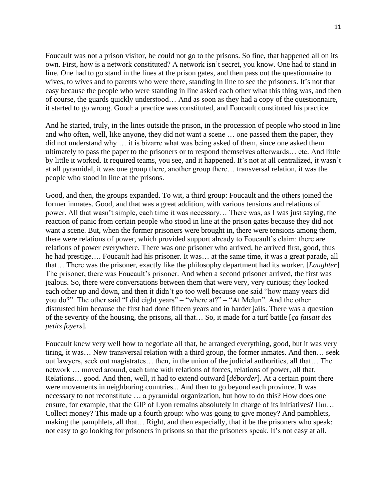Foucault was not a prison visitor, he could not go to the prisons. So fine, that happened all on its own. First, how is a network constituted? A network isn't secret, you know. One had to stand in line. One had to go stand in the lines at the prison gates, and then pass out the questionnaire to wives, to wives and to parents who were there, standing in line to see the prisoners. It's not that easy because the people who were standing in line asked each other what this thing was, and then of course, the guards quickly understood… And as soon as they had a copy of the questionnaire, it started to go wrong. Good: a practice was constituted, and Foucault constituted his practice.

And he started, truly, in the lines outside the prison, in the procession of people who stood in line and who often, well, like anyone, they did not want a scene … one passed them the paper, they did not understand why … it is bizarre what was being asked of them, since one asked them ultimately to pass the paper to the prisoners or to respond themselves afterwards… etc. And little by little it worked. It required teams, you see, and it happened. It's not at all centralized, it wasn't at all pyramidal, it was one group there, another group there… transversal relation, it was the people who stood in line at the prisons.

Good, and then, the groups expanded. To wit, a third group: Foucault and the others joined the former inmates. Good, and that was a great addition, with various tensions and relations of power. All that wasn't simple, each time it was necessary… There was, as I was just saying, the reaction of panic from certain people who stood in line at the prison gates because they did not want a scene. But, when the former prisoners were brought in, there were tensions among them, there were relations of power, which provided support already to Foucault's claim: there are relations of power everywhere. There was one prisoner who arrived, he arrived first, good, thus he had prestige…. Foucault had his prisoner. It was… at the same time, it was a great parade, all that… There was the prisoner, exactly like the philosophy department had its worker. [*Laughter*] The prisoner, there was Foucault's prisoner. And when a second prisoner arrived, the first was jealous. So, there were conversations between them that were very, very curious; they looked each other up and down, and then it didn't go too well because one said "how many years did you do?". The other said "I did eight years" – "where at?" – "At Melun". And the other distrusted him because the first had done fifteen years and in harder jails. There was a question of the severity of the housing, the prisons, all that… So, it made for a turf battle [*ça faisait des petits foyers*].

Foucault knew very well how to negotiate all that, he arranged everything, good, but it was very tiring, it was… New transversal relation with a third group, the former inmates. And then… seek out lawyers, seek out magistrates… then, in the union of the judicial authorities, all that… The network … moved around, each time with relations of forces, relations of power, all that. Relations… good. And then, well, it had to extend outward [*déborder*]. At a certain point there were movements in neighboring countries... And then to go beyond each province. It was necessary to not reconstitute … a pyramidal organization, but how to do this? How does one ensure, for example, that the GIP of Lyon remains absolutely in charge of its initiatives? Um… Collect money? This made up a fourth group: who was going to give money? And pamphlets, making the pamphlets, all that… Right, and then especially, that it be the prisoners who speak: not easy to go looking for prisoners in prisons so that the prisoners speak. It's not easy at all.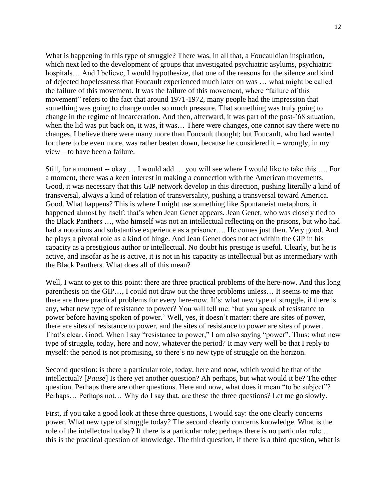What is happening in this type of struggle? There was, in all that, a Foucauldian inspiration, which next led to the development of groups that investigated psychiatric asylums, psychiatric hospitals… And I believe, I would hypothesize, that one of the reasons for the silence and kind of dejected hopelessness that Foucault experienced much later on was … what might be called the failure of this movement. It was the failure of this movement, where "failure of this movement" refers to the fact that around 1971-1972, many people had the impression that something was going to change under so much pressure. That something was truly going to change in the regime of incarceration. And then, afterward, it was part of the post-'68 situation, when the lid was put back on, it was, it was… There were changes, one cannot say there were no changes, I believe there were many more than Foucault thought; but Foucault, who had wanted for there to be even more, was rather beaten down, because he considered it – wrongly, in my view – to have been a failure.

Still, for a moment -- okay … I would add … you will see where I would like to take this …. For a moment, there was a keen interest in making a connection with the American movements. Good, it was necessary that this GIP network develop in this direction, pushing literally a kind of transversal, always a kind of relation of transversality, pushing a transversal toward America. Good. What happens? This is where I might use something like Spontaneist metaphors, it happened almost by itself: that's when Jean Genet appears. Jean Genet, who was closely tied to the Black Panthers …, who himself was not an intellectual reflecting on the prisons, but who had had a notorious and substantive experience as a prisoner.... He comes just then. Very good. And he plays a pivotal role as a kind of hinge. And Jean Genet does not act within the GIP in his capacity as a prestigious author or intellectual. No doubt his prestige is useful. Clearly, but he is active, and insofar as he is active, it is not in his capacity as intellectual but as intermediary with the Black Panthers. What does all of this mean?

Well, I want to get to this point: there are three practical problems of the here-now. And this long parenthesis on the GIP…, I could not draw out the three problems unless… It seems to me that there are three practical problems for every here-now. It's: what new type of struggle, if there is any, what new type of resistance to power? You will tell me: 'but you speak of resistance to power before having spoken of power.' Well, yes, it doesn't matter: there are sites of power, there are sites of resistance to power, and the sites of resistance to power are sites of power. That's clear. Good. When I say "resistance to power," I am also saying "power". Thus: what new type of struggle, today, here and now, whatever the period? It may very well be that I reply to myself: the period is not promising, so there's no new type of struggle on the horizon.

Second question: is there a particular role, today, here and now, which would be that of the intellectual? [*Pause*] Is there yet another question? Ah perhaps, but what would it be? The other question. Perhaps there are other questions. Here and now, what does it mean "to be subject"? Perhaps… Perhaps not… Why do I say that, are these the three questions? Let me go slowly.

First, if you take a good look at these three questions, I would say: the one clearly concerns power. What new type of struggle today? The second clearly concerns knowledge. What is the role of the intellectual today? If there is a particular role; perhaps there is no particular role… this is the practical question of knowledge. The third question, if there is a third question, what is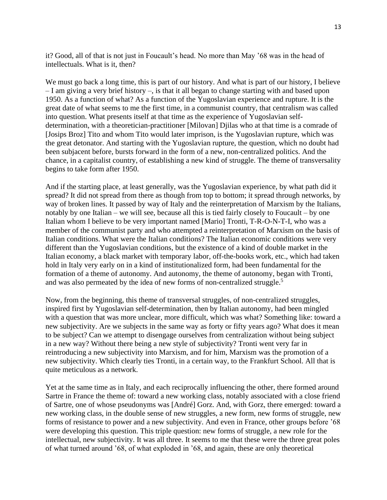it? Good, all of that is not just in Foucault's head. No more than May '68 was in the head of intellectuals. What is it, then?

We must go back a long time, this is part of our history. And what is part of our history, I believe – I am giving a very brief history –, is that it all began to change starting with and based upon 1950. As a function of what? As a function of the Yugoslavian experience and rupture. It is the great date of what seems to me the first time, in a communist country, that centralism was called into question. What presents itself at that time as the experience of Yugoslavian selfdetermination, with a theoretician-practitioner [Milovan] Djilas who at that time is a comrade of [Josips Broz] Tito and whom Tito would later imprison, is the Yugoslavian rupture, which was the great detonator. And starting with the Yugoslavian rupture, the question, which no doubt had been subjacent before, bursts forward in the form of a new, non-centralized politics. And the chance, in a capitalist country, of establishing a new kind of struggle. The theme of transversality begins to take form after 1950.

And if the starting place, at least generally, was the Yugoslavian experience, by what path did it spread? It did not spread from there as though from top to bottom; it spread through networks, by way of broken lines. It passed by way of Italy and the reinterpretation of Marxism by the Italians, notably by one Italian – we will see, because all this is tied fairly closely to Foucault – by one Italian whom I believe to be very important named [Mario] Tronti, T-R-O-N-T-I, who was a member of the communist party and who attempted a reinterpretation of Marxism on the basis of Italian conditions. What were the Italian conditions? The Italian economic conditions were very different than the Yugoslavian conditions, but the existence of a kind of double market in the Italian economy, a black market with temporary labor, off-the-books work, etc., which had taken hold in Italy very early on in a kind of institutionalized form, had been fundamental for the formation of a theme of autonomy. And autonomy, the theme of autonomy, began with Tronti, and was also permeated by the idea of new forms of non-centralized struggle.<sup>5</sup>

Now, from the beginning, this theme of transversal struggles, of non-centralized struggles, inspired first by Yugoslavian self-determination, then by Italian autonomy, had been mingled with a question that was more unclear, more difficult, which was what? Something like: toward a new subjectivity. Are we subjects in the same way as forty or fifty years ago? What does it mean to be subject? Can we attempt to disengage ourselves from centralization without being subject in a new way? Without there being a new style of subjectivity? Tronti went very far in reintroducing a new subjectivity into Marxism, and for him, Marxism was the promotion of a new subjectivity. Which clearly ties Tronti, in a certain way, to the Frankfurt School. All that is quite meticulous as a network.

Yet at the same time as in Italy, and each reciprocally influencing the other, there formed around Sartre in France the theme of: toward a new working class, notably associated with a close friend of Sartre, one of whose pseudonyms was [André] Gorz. And, with Gorz, there emerged: toward a new working class, in the double sense of new struggles, a new form, new forms of struggle, new forms of resistance to power and a new subjectivity. And even in France, other groups before '68 were developing this question. This triple question: new forms of struggle, a new role for the intellectual, new subjectivity. It was all three. It seems to me that these were the three great poles of what turned around '68, of what exploded in '68, and again, these are only theoretical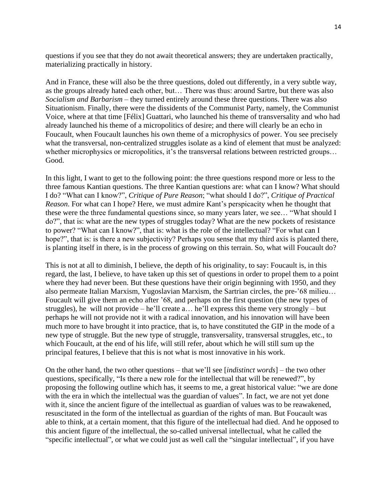questions if you see that they do not await theoretical answers; they are undertaken practically, materializing practically in history.

And in France, these will also be the three questions, doled out differently, in a very subtle way, as the groups already hated each other, but… There was thus: around Sartre, but there was also *Socialism and Barbarism* – they turned entirely around these three questions. There was also Situationism. Finally, there were the dissidents of the Communist Party, namely, the Communist Voice, where at that time [Félix] Guattari, who launched his theme of transversality and who had already launched his theme of a micropolitics of desire; and there will clearly be an echo in Foucault, when Foucault launches his own theme of a microphysics of power. You see precisely what the transversal, non-centralized struggles isolate as a kind of element that must be analyzed: whether microphysics or micropolitics, it's the transversal relations between restricted groups... Good.

In this light, I want to get to the following point: the three questions respond more or less to the three famous Kantian questions. The three Kantian questions are: what can I know? What should I do? "What can I know?", *Critique of Pure Reason*; "what should I do?", *Critique of Practical Reason*. For what can I hope? Here, we must admire Kant's perspicacity when he thought that these were the three fundamental questions since, so many years later, we see… "What should I do?", that is: what are the new types of struggles today? What are the new pockets of resistance to power? "What can I know?", that is: what is the role of the intellectual? "For what can I hope?", that is: is there a new subjectivity? Perhaps you sense that my third axis is planted there, is planting itself in there, is in the process of growing on this terrain. So, what will Foucault do?

This is not at all to diminish, I believe, the depth of his originality, to say: Foucault is, in this regard, the last, I believe, to have taken up this set of questions in order to propel them to a point where they had never been. But these questions have their origin beginning with 1950, and they also permeate Italian Marxism, Yugoslavian Marxism, the Sartrian circles, the pre-'68 milieu… Foucault will give them an echo after '68, and perhaps on the first question (the new types of struggles), he will not provide – he'll create  $a...$  he'll express this theme very strongly – but perhaps he will not provide not it with a radical innovation, and his innovation will have been much more to have brought it into practice, that is, to have constituted the GIP in the mode of a new type of struggle. But the new type of struggle, transversality, transversal struggles, etc., to which Foucault, at the end of his life, will still refer, about which he will still sum up the principal features, I believe that this is not what is most innovative in his work.

On the other hand, the two other questions – that we'll see [*indistinct words*] – the two other questions, specifically, "Is there a new role for the intellectual that will be renewed?", by proposing the following outline which has, it seems to me, a great historical value: "we are done with the era in which the intellectual was the guardian of values". In fact, we are not yet done with it, since the ancient figure of the intellectual as guardian of values was to be reawakened, resuscitated in the form of the intellectual as guardian of the rights of man. But Foucault was able to think, at a certain moment, that this figure of the intellectual had died. And he opposed to this ancient figure of the intellectual, the so-called universal intellectual, what he called the "specific intellectual", or what we could just as well call the "singular intellectual", if you have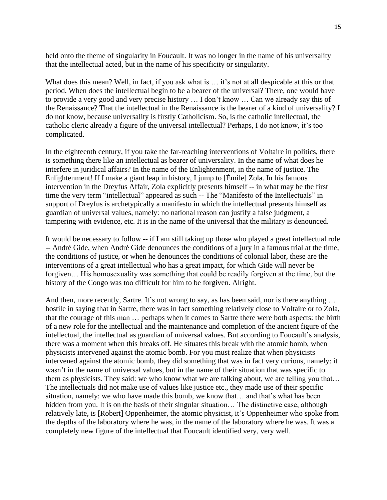held onto the theme of singularity in Foucault. It was no longer in the name of his universality that the intellectual acted, but in the name of his specificity or singularity.

What does this mean? Well, in fact, if you ask what is ... it's not at all despicable at this or that period. When does the intellectual begin to be a bearer of the universal? There, one would have to provide a very good and very precise history … I don't know … Can we already say this of the Renaissance? That the intellectual in the Renaissance is the bearer of a kind of universality? I do not know, because universality is firstly Catholicism. So, is the catholic intellectual, the catholic cleric already a figure of the universal intellectual? Perhaps, I do not know, it's too complicated.

In the eighteenth century, if you take the far-reaching interventions of Voltaire in politics, there is something there like an intellectual as bearer of universality. In the name of what does he interfere in juridical affairs? In the name of the Enlightenment, in the name of justice. The Enlightenment! If I make a giant leap in history, I jump to [Émile] Zola. In his famous intervention in the Dreyfus Affair, Zola explicitly presents himself -- in what may be the first time the very term "intellectual" appeared as such -- The "Manifesto of the Intellectuals" in support of Dreyfus is archetypically a manifesto in which the intellectual presents himself as guardian of universal values, namely: no national reason can justify a false judgment, a tampering with evidence, etc. It is in the name of the universal that the military is denounced.

It would be necessary to follow -- if I am still taking up those who played a great intellectual role -- André Gide, when André Gide denounces the conditions of a jury in a famous trial at the time, the conditions of justice, or when he denounces the conditions of colonial labor, these are the interventions of a great intellectual who has a great impact, for which Gide will never be forgiven… His homosexuality was something that could be readily forgiven at the time, but the history of the Congo was too difficult for him to be forgiven. Alright.

And then, more recently, Sartre. It's not wrong to say, as has been said, nor is there anything ... hostile in saying that in Sartre, there was in fact something relatively close to Voltaire or to Zola, that the courage of this man … perhaps when it comes to Sartre there were both aspects: the birth of a new role for the intellectual and the maintenance and completion of the ancient figure of the intellectual, the intellectual as guardian of universal values. But according to Foucault's analysis, there was a moment when this breaks off. He situates this break with the atomic bomb, when physicists intervened against the atomic bomb. For you must realize that when physicists intervened against the atomic bomb, they did something that was in fact very curious, namely: it wasn't in the name of universal values, but in the name of their situation that was specific to them as physicists. They said: we who know what we are talking about, we are telling you that… The intellectuals did not make use of values like justice etc., they made use of their specific situation, namely: we who have made this bomb, we know that… and that's what has been hidden from you. It is on the basis of their singular situation... The distinctive case, although relatively late, is [Robert] Oppenheimer, the atomic physicist, it's Oppenheimer who spoke from the depths of the laboratory where he was, in the name of the laboratory where he was. It was a completely new figure of the intellectual that Foucault identified very, very well.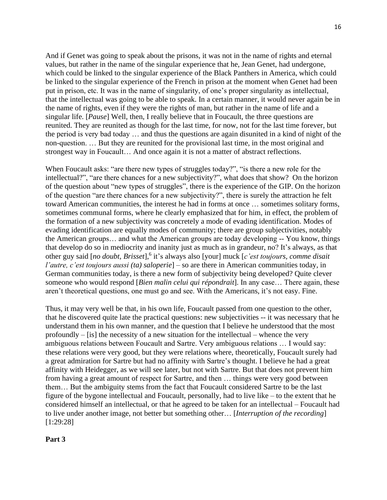And if Genet was going to speak about the prisons, it was not in the name of rights and eternal values, but rather in the name of the singular experience that he, Jean Genet, had undergone, which could be linked to the singular experience of the Black Panthers in America, which could be linked to the singular experience of the French in prison at the moment when Genet had been put in prison, etc. It was in the name of singularity, of one's proper singularity as intellectual, that the intellectual was going to be able to speak. In a certain manner, it would never again be in the name of rights, even if they were the rights of man, but rather in the name of life and a singular life. [*Pause*] Well, then, I really believe that in Foucault, the three questions are reunited. They are reunited as though for the last time, for now, not for the last time forever, but the period is very bad today … and thus the questions are again disunited in a kind of night of the non-question. … But they are reunited for the provisional last time, in the most original and strongest way in Foucault… And once again it is not a matter of abstract reflections.

When Foucault asks: "are there new types of struggles today?", "is there a new role for the intellectual?", "are there chances for a new subjectivity?", what does that show? On the horizon of the question about "new types of struggles", there is the experience of the GIP. On the horizon of the question "are there chances for a new subjectivity?", there is surely the attraction he felt toward American communities, the interest he had in forms at once … sometimes solitary forms, sometimes communal forms, where he clearly emphasized that for him, in effect, the problem of the formation of a new subjectivity was concretely a mode of evading identification. Modes of evading identification are equally modes of community; there are group subjectivities, notably the American groups… and what the American groups are today developing -- You know, things that develop do so in mediocrity and inanity just as much as in grandeur, no? It's always, as that other guy said [*no doubt, Brisset*], 6 it's always also [your] muck [*c'est toujours, comme disait l'autre, c'est toujours aussi (ta) saloperie*] – so are there in American communities today, in German communities today, is there a new form of subjectivity being developed? Quite clever someone who would respond [*Bien malin celui qui répondrait*]. In any case… There again, these aren't theoretical questions, one must go and see. With the Americans, it's not easy. Fine.

Thus, it may very well be that, in his own life, Foucault passed from one question to the other, that he discovered quite late the practical questions: new subjectivities -- it was necessary that he understand them in his own manner, and the question that I believe he understood that the most profoundly  $-$  [is] the necessity of a new situation for the intellectual – whence the very ambiguous relations between Foucault and Sartre. Very ambiguous relations … I would say: these relations were very good, but they were relations where, theoretically, Foucault surely had a great admiration for Sartre but had no affinity with Sartre's thought. I believe he had a great affinity with Heidegger, as we will see later, but not with Sartre. But that does not prevent him from having a great amount of respect for Sartre, and then … things were very good between them… But the ambiguity stems from the fact that Foucault considered Sartre to be the last figure of the bygone intellectual and Foucault, personally, had to live like – to the extent that he considered himself an intellectual, or that he agreed to be taken for an intellectual – Foucault had to live under another image, not better but something other… [*Interruption of the recording*] [1:29:28]

### **Part 3**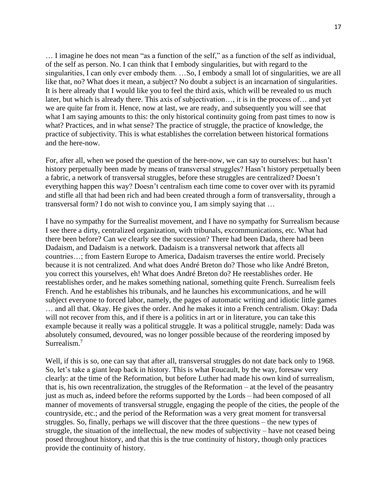… I imagine he does not mean "as a function of the self," as a function of the self as individual, of the self as person. No. I can think that I embody singularities, but with regard to the singularities, I can only ever embody them. …So, I embody a small lot of singularities, we are all like that, no? What does it mean, a subject? No doubt a subject is an incarnation of singularities. It is here already that I would like you to feel the third axis, which will be revealed to us much later, but which is already there. This axis of subjectivation…, it is in the process of… and yet we are quite far from it. Hence, now at last, we are ready, and subsequently you will see that what I am saying amounts to this: the only historical continuity going from past times to now is what? Practices, and in what sense? The practice of struggle, the practice of knowledge, the practice of subjectivity. This is what establishes the correlation between historical formations and the here-now.

For, after all, when we posed the question of the here-now, we can say to ourselves: but hasn't history perpetually been made by means of transversal struggles? Hasn't history perpetually been a fabric, a network of transversal struggles, before these struggles are centralized? Doesn't everything happen this way? Doesn't centralism each time come to cover over with its pyramid and stifle all that had been rich and had been created through a form of transversality, through a transversal form? I do not wish to convince you, I am simply saying that …

I have no sympathy for the Surrealist movement, and I have no sympathy for Surrealism because I see there a dirty, centralized organization, with tribunals, excommunications, etc. What had there been before? Can we clearly see the succession? There had been Dada, there had been Dadaism, and Dadaism is a network. Dadaism is a transversal network that affects all countries…; from Eastern Europe to America, Dadaism traverses the entire world. Precisely because it is not centralized. And what does André Breton do? Those who like André Breton, you correct this yourselves, eh! What does André Breton do? He reestablishes order. He reestablishes order, and he makes something national, something quite French. Surrealism feels French. And he establishes his tribunals, and he launches his excommunications, and he will subject everyone to forced labor, namely, the pages of automatic writing and idiotic little games … and all that. Okay. He gives the order. And he makes it into a French centralism. Okay: Dada will not recover from this, and if there is a politics in art or in literature, you can take this example because it really was a political struggle. It was a political struggle, namely: Dada was absolutely consumed, devoured, was no longer possible because of the reordering imposed by Surrealism.<sup>7</sup>

Well, if this is so, one can say that after all, transversal struggles do not date back only to 1968. So, let's take a giant leap back in history. This is what Foucault, by the way, foresaw very clearly: at the time of the Reformation, but before Luther had made his own kind of surrealism, that is, his own recentralization, the struggles of the Reformation – at the level of the peasantry just as much as, indeed before the reforms supported by the Lords – had been composed of all manner of movements of transversal struggle, engaging the people of the cities, the people of the countryside, etc.; and the period of the Reformation was a very great moment for transversal struggles. So, finally, perhaps we will discover that the three questions – the new types of struggle, the situation of the intellectual, the new modes of subjectivity – have not ceased being posed throughout history, and that this is the true continuity of history, though only practices provide the continuity of history.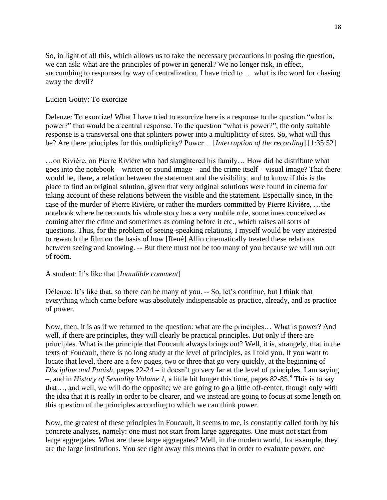So, in light of all this, which allows us to take the necessary precautions in posing the question, we can ask: what are the principles of power in general? We no longer risk, in effect, succumbing to responses by way of centralization. I have tried to … what is the word for chasing away the devil?

# Lucien Gouty: To exorcize

Deleuze: To exorcize! What I have tried to exorcize here is a response to the question "what is power?" that would be a central response. To the question "what is power?", the only suitable response is a transversal one that splinters power into a multiplicity of sites. So, what will this be? Are there principles for this multiplicity? Power… [*Interruption of the recording*] [1:35:52]

…on Rivière, on Pierre Rivière who had slaughtered his family… How did he distribute what goes into the notebook – written or sound image – and the crime itself – visual image? That there would be, there, a relation between the statement and the visibility, and to know if this is the place to find an original solution, given that very original solutions were found in cinema for taking account of these relations between the visible and the statement. Especially since, in the case of the murder of Pierre Rivière, or rather the murders committed by Pierre Rivière, …the notebook where he recounts his whole story has a very mobile role, sometimes conceived as coming after the crime and sometimes as coming before it etc., which raises all sorts of questions. Thus, for the problem of seeing-speaking relations, I myself would be very interested to rewatch the film on the basis of how [René] Allio cinematically treated these relations between seeing and knowing. -- But there must not be too many of you because we will run out of room.

### A student: It's like that [*Inaudible comment*]

Deleuze: It's like that, so there can be many of you. -- So, let's continue, but I think that everything which came before was absolutely indispensable as practice, already, and as practice of power.

Now, then, it is as if we returned to the question: what are the principles… What is power? And well, if there are principles, they will clearly be practical principles. But only if there are principles. What is the principle that Foucault always brings out? Well, it is, strangely, that in the texts of Foucault, there is no long study at the level of principles, as I told you. If you want to locate that level, there are a few pages, two or three that go very quickly, at the beginning of *Discipline and Punish*, pages 22-24 – it doesn't go very far at the level of principles, I am saying –, and in *History of Sexuality Volume 1*, a little bit longer this time, pages 82-85.<sup>8</sup> This is to say that…, and well, we will do the opposite; we are going to go a little off-center, though only with the idea that it is really in order to be clearer, and we instead are going to focus at some length on this question of the principles according to which we can think power.

Now, the greatest of these principles in Foucault, it seems to me, is constantly called forth by his concrete analyses, namely: one must not start from large aggregates. One must not start from large aggregates. What are these large aggregates? Well, in the modern world, for example, they are the large institutions. You see right away this means that in order to evaluate power, one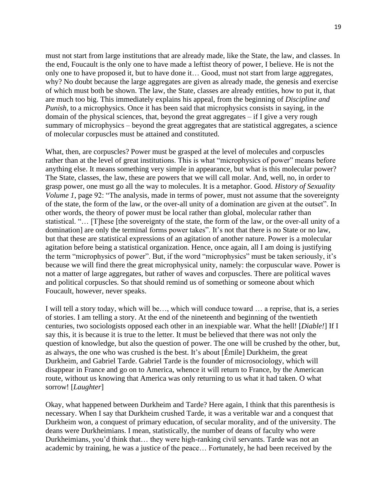must not start from large institutions that are already made, like the State, the law, and classes. In the end, Foucault is the only one to have made a leftist theory of power, I believe. He is not the only one to have proposed it, but to have done it… Good, must not start from large aggregates, why? No doubt because the large aggregates are given as already made, the genesis and exercise of which must both be shown. The law, the State, classes are already entities, how to put it, that are much too big. This immediately explains his appeal, from the beginning of *Discipline and Punish*, to a microphysics. Once it has been said that microphysics consists in saying, in the domain of the physical sciences, that, beyond the great aggregates – if I give a very rough summary of microphysics – beyond the great aggregates that are statistical aggregates, a science of molecular corpuscles must be attained and constituted.

What, then, are corpuscles? Power must be grasped at the level of molecules and corpuscles rather than at the level of great institutions. This is what "microphysics of power" means before anything else. It means something very simple in appearance, but what is this molecular power? The State, classes, the law, these are powers that we will call molar. And, well, no, in order to grasp power, one must go all the way to molecules. It is a metaphor. Good. *History of Sexuality Volume 1*, page 92: "The analysis, made in terms of power, must not assume that the sovereignty of the state, the form of the law, or the over-all unity of a domination are given at the outset". In other words, the theory of power must be local rather than global, molecular rather than statistical. "… [T]hese [the sovereignty of the state, the form of the law, or the over-all unity of a domination] are only the terminal forms power takes". It's not that there is no State or no law, but that these are statistical expressions of an agitation of another nature. Power is a molecular agitation before being a statistical organization. Hence, once again, all I am doing is justifying the term "microphysics of power". But, if the word "microphysics" must be taken seriously, it's because we will find there the great microphysical unity, namely: the corpuscular wave. Power is not a matter of large aggregates, but rather of waves and corpuscles. There are political waves and political corpuscles. So that should remind us of something or someone about which Foucault, however, never speaks.

I will tell a story today, which will be…, which will conduce toward … a reprise, that is, a series of stories. I am telling a story. At the end of the nineteenth and beginning of the twentieth centuries, two sociologists opposed each other in an inexpiable war. What the hell! [*Diable!*] If I say this, it is because it is true to the letter. It must be believed that there was not only the question of knowledge, but also the question of power. The one will be crushed by the other, but, as always, the one who was crushed is the best. It's about [Émile] Durkheim, the great Durkheim, and Gabriel Tarde. Gabriel Tarde is the founder of microsociology, which will disappear in France and go on to America, whence it will return to France, by the American route, without us knowing that America was only returning to us what it had taken. O what sorrow! [*Laughter*]

Okay, what happened between Durkheim and Tarde? Here again, I think that this parenthesis is necessary. When I say that Durkheim crushed Tarde, it was a veritable war and a conquest that Durkheim won, a conquest of primary education, of secular morality, and of the university. The deans were Durkheimians. I mean, statistically, the number of deans of faculty who were Durkheimians, you'd think that… they were high-ranking civil servants. Tarde was not an academic by training, he was a justice of the peace… Fortunately, he had been received by the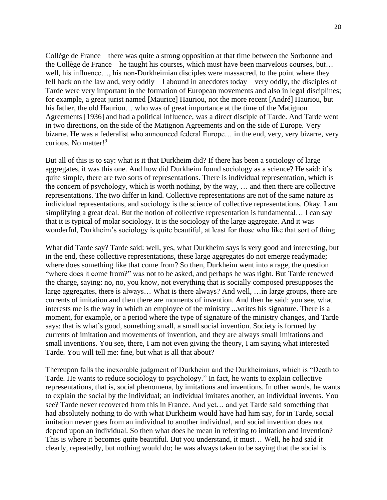Collège de France – there was quite a strong opposition at that time between the Sorbonne and the Collège de France – he taught his courses, which must have been marvelous courses, but… well, his influence…, his non-Durkheimian disciples were massacred, to the point where they fell back on the law and, very oddly – I abound in anecdotes today – very oddly, the disciples of Tarde were very important in the formation of European movements and also in legal disciplines; for example, a great jurist named [Maurice] Hauriou, not the more recent [André] Hauriou, but his father, the old Hauriou… who was of great importance at the time of the Matignon Agreements [1936] and had a political influence, was a direct disciple of Tarde. And Tarde went in two directions, on the side of the Matignon Agreements and on the side of Europe. Very bizarre. He was a federalist who announced federal Europe… in the end, very, very bizarre, very curious. No matter!<sup>9</sup>

But all of this is to say: what is it that Durkheim did? If there has been a sociology of large aggregates, it was this one. And how did Durkheim found sociology as a science? He said: it's quite simple, there are two sorts of representations. There is individual representation, which is the concern of psychology, which is worth nothing, by the way, … and then there are collective representations. The two differ in kind. Collective representations are not of the same nature as individual representations, and sociology is the science of collective representations. Okay. I am simplifying a great deal. But the notion of collective representation is fundamental… I can say that it is typical of molar sociology. It is the sociology of the large aggregate. And it was wonderful, Durkheim's sociology is quite beautiful, at least for those who like that sort of thing.

What did Tarde say? Tarde said: well, yes, what Durkheim says is very good and interesting, but in the end, these collective representations, these large aggregates do not emerge readymade; where does something like that come from? So then, Durkheim went into a rage, the question "where does it come from?" was not to be asked, and perhaps he was right. But Tarde renewed the charge, saying: no, no, you know, not everything that is socially composed presupposes the large aggregates, there is always… What is there always? And well, …in large groups, there are currents of imitation and then there are moments of invention. And then he said: you see, what interests me is the way in which an employee of the ministry ...writes his signature. There is a moment, for example, or a period where the type of signature of the ministry changes, and Tarde says: that is what's good, something small, a small social invention. Society is formed by currents of imitation and movements of invention, and they are always small imitations and small inventions. You see, there, I am not even giving the theory, I am saying what interested Tarde. You will tell me: fine, but what is all that about?

Thereupon falls the inexorable judgment of Durkheim and the Durkheimians, which is "Death to Tarde. He wants to reduce sociology to psychology." In fact, he wants to explain collective representations, that is, social phenomena, by imitations and inventions. In other words, he wants to explain the social by the individual; an individual imitates another, an individual invents. You see? Tarde never recovered from this in France. And yet… and yet Tarde said something that had absolutely nothing to do with what Durkheim would have had him say, for in Tarde, social imitation never goes from an individual to another individual, and social invention does not depend upon an individual. So then what does he mean in referring to imitation and invention? This is where it becomes quite beautiful. But you understand, it must… Well, he had said it clearly, repeatedly, but nothing would do; he was always taken to be saying that the social is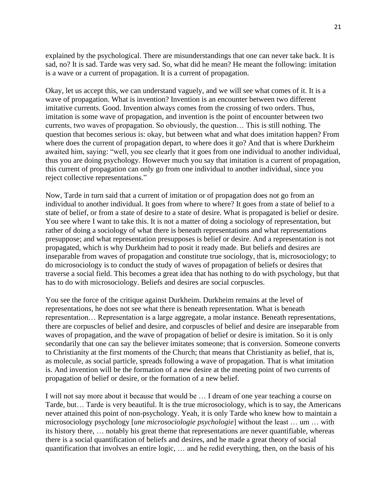explained by the psychological. There are misunderstandings that one can never take back. It is sad, no? It is sad. Tarde was very sad. So, what did he mean? He meant the following: imitation is a wave or a current of propagation. It is a current of propagation.

Okay, let us accept this, we can understand vaguely, and we will see what comes of it. It is a wave of propagation. What is invention? Invention is an encounter between two different imitative currents. Good. Invention always comes from the crossing of two orders. Thus, imitation is some wave of propagation, and invention is the point of encounter between two currents, two waves of propagation. So obviously, the question… This is still nothing. The question that becomes serious is: okay, but between what and what does imitation happen? From where does the current of propagation depart, to where does it go? And that is where Durkheim awaited him, saying: "well, you see clearly that it goes from one individual to another individual, thus you are doing psychology. However much you say that imitation is a current of propagation, this current of propagation can only go from one individual to another individual, since you reject collective representations."

Now, Tarde in turn said that a current of imitation or of propagation does not go from an individual to another individual. It goes from where to where? It goes from a state of belief to a state of belief, or from a state of desire to a state of desire. What is propagated is belief or desire. You see where I want to take this. It is not a matter of doing a sociology of representation, but rather of doing a sociology of what there is beneath representations and what representations presuppose; and what representation presupposes is belief or desire. And a representation is not propagated, which is why Durkheim had to posit it ready made. But beliefs and desires are inseparable from waves of propagation and constitute true sociology, that is, microsociology; to do microsociology is to conduct the study of waves of propagation of beliefs or desires that traverse a social field. This becomes a great idea that has nothing to do with psychology, but that has to do with microsociology. Beliefs and desires are social corpuscles.

You see the force of the critique against Durkheim. Durkheim remains at the level of representations, he does not see what there is beneath representation. What is beneath representation… Representation is a large aggregate, a molar instance. Beneath representations, there are corpuscles of belief and desire, and corpuscles of belief and desire are inseparable from waves of propagation, and the wave of propagation of belief or desire is imitation. So it is only secondarily that one can say the believer imitates someone; that is conversion. Someone converts to Christianity at the first moments of the Church; that means that Christianity as belief, that is, as molecule, as social particle, spreads following a wave of propagation. That is what imitation is. And invention will be the formation of a new desire at the meeting point of two currents of propagation of belief or desire, or the formation of a new belief.

I will not say more about it because that would be … I dream of one year teaching a course on Tarde, but… Tarde is very beautiful. It is the true microsociology, which is to say, the Americans never attained this point of non-psychology. Yeah, it is only Tarde who knew how to maintain a microsociology psychology [*une microsociologie psychologie*] without the least … um … with its history there, … notably his great theme that representations are never quantifiable, whereas there is a social quantification of beliefs and desires, and he made a great theory of social quantification that involves an entire logic, … and he redid everything, then, on the basis of his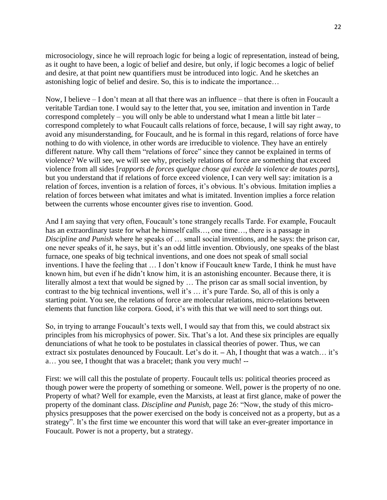microsociology, since he will reproach logic for being a logic of representation, instead of being, as it ought to have been, a logic of belief and desire, but only, if logic becomes a logic of belief and desire, at that point new quantifiers must be introduced into logic. And he sketches an astonishing logic of belief and desire. So, this is to indicate the importance…

Now, I believe – I don't mean at all that there was an influence – that there is often in Foucault a veritable Tardian tone. I would say to the letter that, you see, imitation and invention in Tarde correspond completely – you will only be able to understand what I mean a little bit later – correspond completely to what Foucault calls relations of force, because, I will say right away, to avoid any misunderstanding, for Foucault, and he is formal in this regard, relations of force have nothing to do with violence, in other words are irreducible to violence. They have an entirely different nature. Why call them "relations of force" since they cannot be explained in terms of violence? We will see, we will see why, precisely relations of force are something that exceed violence from all sides [*rapports de forces quelque chose qui excède la violence de toutes parts*], but you understand that if relations of force exceed violence, I can very well say: imitation is a relation of forces, invention is a relation of forces, it's obvious. It's obvious. Imitation implies a relation of forces between what imitates and what is imitated. Invention implies a force relation between the currents whose encounter gives rise to invention. Good.

And I am saying that very often, Foucault's tone strangely recalls Tarde. For example, Foucault has an extraordinary taste for what he himself calls…, one time…, there is a passage in *Discipline and Punish* where he speaks of … small social inventions, and he says: the prison car, one never speaks of it, he says, but it's an odd little invention. Obviously, one speaks of the blast furnace, one speaks of big technical inventions, and one does not speak of small social inventions. I have the feeling that … I don't know if Foucault knew Tarde, I think he must have known him, but even if he didn't know him, it is an astonishing encounter. Because there, it is literally almost a text that would be signed by … The prison car as small social invention, by contrast to the big technical inventions, well it's … it's pure Tarde. So, all of this is only a starting point. You see, the relations of force are molecular relations, micro-relations between elements that function like corpora. Good, it's with this that we will need to sort things out.

So, in trying to arrange Foucault's texts well, I would say that from this, we could abstract six principles from his microphysics of power. Six. That's a lot. And these six principles are equally denunciations of what he took to be postulates in classical theories of power. Thus, we can extract six postulates denounced by Foucault. Let's do it. **–** Ah, I thought that was a watch… it's a… you see, I thought that was a bracelet; thank you very much! --

First: we will call this the postulate of property. Foucault tells us: political theories proceed as though power were the property of something or someone. Well, power is the property of no one. Property of what? Well for example, even the Marxists, at least at first glance, make of power the property of the dominant class. *Discipline and Punish*, page 26: "Now, the study of this microphysics presupposes that the power exercised on the body is conceived not as a property, but as a strategy". It's the first time we encounter this word that will take an ever-greater importance in Foucault. Power is not a property, but a strategy.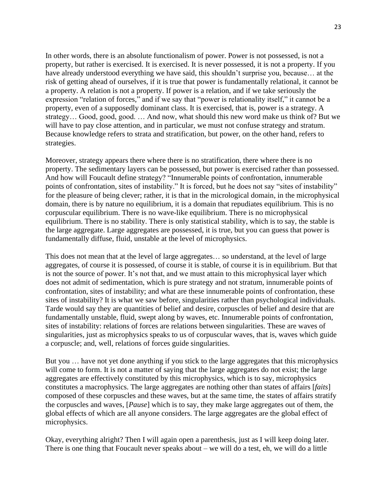In other words, there is an absolute functionalism of power. Power is not possessed, is not a property, but rather is exercised. It is exercised. It is never possessed, it is not a property. If you have already understood everything we have said, this shouldn't surprise you, because... at the risk of getting ahead of ourselves, if it is true that power is fundamentally relational, it cannot be a property. A relation is not a property. If power is a relation, and if we take seriously the expression "relation of forces," and if we say that "power is relationality itself," it cannot be a property, even of a supposedly dominant class. It is exercised, that is, power is a strategy. A strategy… Good, good, good. … And now, what should this new word make us think of? But we will have to pay close attention, and in particular, we must not confuse strategy and stratum. Because knowledge refers to strata and stratification, but power, on the other hand, refers to strategies.

Moreover, strategy appears there where there is no stratification, there where there is no property. The sedimentary layers can be possessed, but power is exercised rather than possessed. And how will Foucault define strategy? "Innumerable points of confrontation, innumerable points of confrontation, sites of instability." It is forced, but he does not say "sites of instability" for the pleasure of being clever; rather, it is that in the micrological domain, in the microphysical domain, there is by nature no equilibrium, it is a domain that repudiates equilibrium. This is no corpuscular equilibrium. There is no wave-like equilibrium. There is no microphysical equilibrium. There is no stability. There is only statistical stability, which is to say, the stable is the large aggregate. Large aggregates are possessed, it is true, but you can guess that power is fundamentally diffuse, fluid, unstable at the level of microphysics.

This does not mean that at the level of large aggregates… so understand, at the level of large aggregates, of course it is possessed, of course it is stable, of course it is in equilibrium. But that is not the source of power. It's not that, and we must attain to this microphysical layer which does not admit of sedimentation, which is pure strategy and not stratum, innumerable points of confrontation, sites of instability; and what are these innumerable points of confrontation, these sites of instability? It is what we saw before, singularities rather than psychological individuals. Tarde would say they are quantities of belief and desire, corpuscles of belief and desire that are fundamentally unstable, fluid, swept along by waves, etc. Innumerable points of confrontation, sites of instability: relations of forces are relations between singularities. These are waves of singularities, just as microphysics speaks to us of corpuscular waves, that is, waves which guide a corpuscle; and, well, relations of forces guide singularities.

But you … have not yet done anything if you stick to the large aggregates that this microphysics will come to form. It is not a matter of saying that the large aggregates do not exist; the large aggregates are effectively constituted by this microphysics, which is to say, microphysics constitutes a macrophysics. The large aggregates are nothing other than states of affairs [*faits*] composed of these corpuscles and these waves, but at the same time, the states of affairs stratify the corpuscles and waves, [*Pause*] which is to say, they make large aggregates out of them, the global effects of which are all anyone considers. The large aggregates are the global effect of microphysics.

Okay, everything alright? Then I will again open a parenthesis, just as I will keep doing later. There is one thing that Foucault never speaks about – we will do a test, eh, we will do a little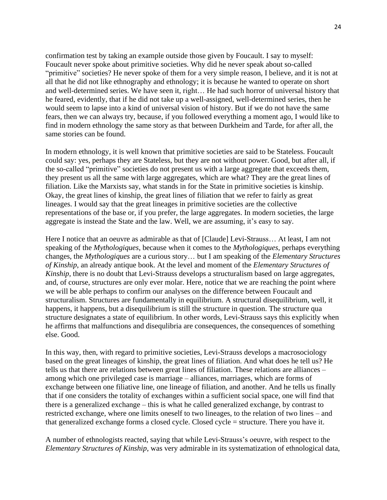confirmation test by taking an example outside those given by Foucault. I say to myself: Foucault never spoke about primitive societies. Why did he never speak about so-called "primitive" societies? He never spoke of them for a very simple reason, I believe, and it is not at all that he did not like ethnography and ethnology; it is because he wanted to operate on short and well-determined series. We have seen it, right… He had such horror of universal history that he feared, evidently, that if he did not take up a well-assigned, well-determined series, then he would seem to lapse into a kind of universal vision of history. But if we do not have the same fears, then we can always try, because, if you followed everything a moment ago, I would like to find in modern ethnology the same story as that between Durkheim and Tarde, for after all, the same stories can be found.

In modern ethnology, it is well known that primitive societies are said to be Stateless. Foucault could say: yes, perhaps they are Stateless, but they are not without power. Good, but after all, if the so-called "primitive" societies do not present us with a large aggregate that exceeds them, they present us all the same with large aggregates, which are what? They are the great lines of filiation. Like the Marxists say, what stands in for the State in primitive societies is kinship. Okay, the great lines of kinship, the great lines of filiation that we refer to fairly as great lineages. I would say that the great lineages in primitive societies are the collective representations of the base or, if you prefer, the large aggregates. In modern societies, the large aggregate is instead the State and the law. Well, we are assuming, it's easy to say.

Here I notice that an oeuvre as admirable as that of [Claude] Levi-Strauss… At least, I am not speaking of the *Mythologiques*, because when it comes to the *Mythologiques*, perhaps everything changes, the *Mythologiques* are a curious story… but I am speaking of the *Elementary Structures of Kinship*, an already antique book. At the level and moment of the *Elementary Structures of Kinship*, there is no doubt that Levi-Strauss develops a structuralism based on large aggregates, and, of course, structures are only ever molar. Here, notice that we are reaching the point where we will be able perhaps to confirm our analyses on the difference between Foucault and structuralism. Structures are fundamentally in equilibrium. A structural disequilibrium, well, it happens, it happens, but a disequilibrium is still the structure in question. The structure qua structure designates a state of equilibrium. In other words, Levi-Strauss says this explicitly when he affirms that malfunctions and disequlibria are consequences, the consequences of something else. Good.

In this way, then, with regard to primitive societies, Levi-Strauss develops a macrosociology based on the great lineages of kinship, the great lines of filiation. And what does he tell us? He tells us that there are relations between great lines of filiation. These relations are alliances – among which one privileged case is marriage – alliances, marriages, which are forms of exchange between one filiative line, one lineage of filiation, and another. And he tells us finally that if one considers the totality of exchanges within a sufficient social space, one will find that there is a generalized exchange – this is what he called generalized exchange, by contrast to restricted exchange, where one limits oneself to two lineages, to the relation of two lines – and that generalized exchange forms a closed cycle. Closed cycle = structure. There you have it.

A number of ethnologists reacted, saying that while Levi-Strauss's oeuvre, with respect to the *Elementary Structures of Kinship*, was very admirable in its systematization of ethnological data,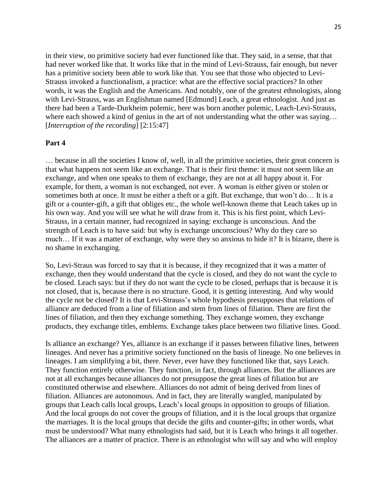in their view, no primitive society had ever functioned like that. They said, in a sense, that that had never worked like that. It works like that in the mind of Levi-Strauss, fair enough, but never has a primitive society been able to work like that. You see that those who objected to Levi-Strauss invoked a functionalism, a practice: what are the effective social practices? In other words, it was the English and the Americans. And notably, one of the greatest ethnologists, along with Levi-Strauss, was an Englishman named [Edmund] Leach, a great ethnologist. And just as there had been a Tarde-Durkheim polemic, here was born another polemic, Leach-Levi-Strauss, where each showed a kind of genius in the art of not understanding what the other was saying... [*Interruption of the recording*] [2:15:47]

### **Part 4**

… because in all the societies I know of, well, in all the primitive societies, their great concern is that what happens not seem like an exchange. That is their first theme: it must not seem like an exchange, and when one speaks to them of exchange, they are not at all happy about it. For example, for them, a woman is not exchanged, not ever. A woman is either given or stolen or sometimes both at once. It must be either a theft or a gift. But exchange, that won't do… It is a gift or a counter-gift, a gift that obliges etc., the whole well-known theme that Leach takes up in his own way. And you will see what he will draw from it. This is his first point, which Levi-Strauss, in a certain manner, had recognized in saying: exchange is unconscious. And the strength of Leach is to have said: but why is exchange unconscious? Why do they care so much… If it was a matter of exchange, why were they so anxious to hide it? It is bizarre, there is no shame in exchanging.

So, Levi-Straus was forced to say that it is because, if they recognized that it was a matter of exchange, then they would understand that the cycle is closed, and they do not want the cycle to be closed. Leach says: but if they do not want the cycle to be closed, perhaps that is because it is not closed, that is, because there is no structure. Good, it is getting interesting. And why would the cycle not be closed? It is that Levi-Strauss's whole hypothesis presupposes that relations of alliance are deduced from a line of filiation and stem from lines of filiation. There are first the lines of filiation, and then they exchange something. They exchange women, they exchange products, they exchange titles, emblems. Exchange takes place between two filiative lines. Good.

Is alliance an exchange? Yes, alliance is an exchange if it passes between filiative lines, between lineages. And never has a primitive society functioned on the basis of lineage. No one believes in lineages. I am simplifying a bit, there. Never, ever have they functioned like that, says Leach. They function entirely otherwise. They function, in fact, through alliances. But the alliances are not at all exchanges because alliances do not presuppose the great lines of filiation but are constituted otherwise and elsewhere. Alliances do not admit of being derived from lines of filiation. Alliances are autonomous. And in fact, they are literally wangled, manipulated by groups that Leach calls local groups, Leach's local groups in opposition to groups of filiation. And the local groups do not cover the groups of filiation, and it is the local groups that organize the marriages. It is the local groups that decide the gifts and counter-gifts; in other words, what must be understood? What many ethnologists had said, but it is Leach who brings it all together. The alliances are a matter of practice. There is an ethnologist who will say and who will employ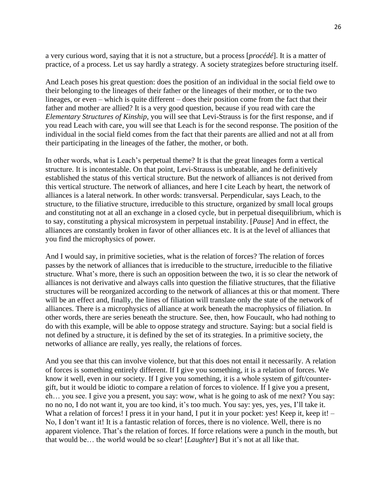a very curious word, saying that it is not a structure, but a process [*procédé*]. It is a matter of practice, of a process. Let us say hardly a strategy. A society strategizes before structuring itself.

And Leach poses his great question: does the position of an individual in the social field owe to their belonging to the lineages of their father or the lineages of their mother, or to the two lineages, or even – which is quite different – does their position come from the fact that their father and mother are allied? It is a very good question, because if you read with care the *Elementary Structures of Kinship*, you will see that Levi-Strauss is for the first response, and if you read Leach with care, you will see that Leach is for the second response. The position of the individual in the social field comes from the fact that their parents are allied and not at all from their participating in the lineages of the father, the mother, or both.

In other words, what is Leach's perpetual theme? It is that the great lineages form a vertical structure. It is incontestable. On that point, Levi-Strauss is unbeatable, and he definitively established the status of this vertical structure. But the network of alliances is not derived from this vertical structure. The network of alliances, and here I cite Leach by heart, the network of alliances is a lateral network. In other words: transversal. Perpendicular, says Leach, to the structure, to the filiative structure, irreducible to this structure, organized by small local groups and constituting not at all an exchange in a closed cycle, but in perpetual disequilibrium, which is to say, constituting a physical microsystem in perpetual instability. [*Pause*] And in effect, the alliances are constantly broken in favor of other alliances etc. It is at the level of alliances that you find the microphysics of power.

And I would say, in primitive societies, what is the relation of forces? The relation of forces passes by the network of alliances that is irreducible to the structure, irreducible to the filiative structure. What's more, there is such an opposition between the two, it is so clear the network of alliances is not derivative and always calls into question the filiative structures, that the filiative structures will be reorganized according to the network of alliances at this or that moment. There will be an effect and, finally, the lines of filiation will translate only the state of the network of alliances. There is a microphysics of alliance at work beneath the macrophysics of filiation. In other words, there are series beneath the structure. See, then, how Foucault, who had nothing to do with this example, will be able to oppose strategy and structure. Saying: but a social field is not defined by a structure, it is defined by the set of its strategies. In a primitive society, the networks of alliance are really, yes really, the relations of forces.

And you see that this can involve violence, but that this does not entail it necessarily. A relation of forces is something entirely different. If I give you something, it is a relation of forces. We know it well, even in our society. If I give you something, it is a whole system of gift/countergift, but it would be idiotic to compare a relation of forces to violence. If I give you a present, eh… you see. I give you a present, you say: wow, what is he going to ask of me next? You say: no no no, I do not want it, you are too kind, it's too much. You say: yes, yes, yes, I'll take it. What a relation of forces! I press it in your hand, I put it in your pocket: yes! Keep it, keep it! – No, I don't want it! It is a fantastic relation of forces, there is no violence. Well, there is no apparent violence. That's the relation of forces. If force relations were a punch in the mouth, but that would be… the world would be so clear! [*Laughter*] But it's not at all like that.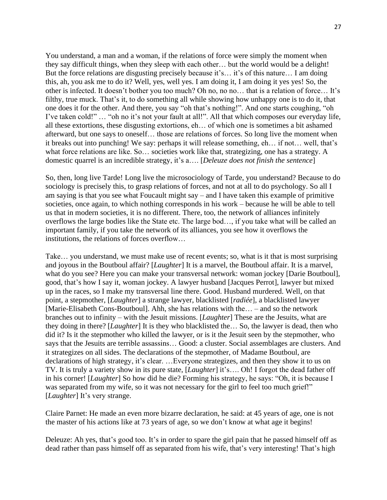You understand, a man and a woman, if the relations of force were simply the moment when they say difficult things, when they sleep with each other… but the world would be a delight! But the force relations are disgusting precisely because it's… it's of this nature… I am doing this, ah, you ask me to do it? Well, yes, well yes. I am doing it, I am doing it yes yes! So, the other is infected. It doesn't bother you too much? Oh no, no no… that is a relation of force… It's filthy, true muck. That's it, to do something all while showing how unhappy one is to do it, that one does it for the other. And there, you say "oh that's nothing!". And one starts coughing, "oh I've taken cold!" … "oh no it's not your fault at all!". All that which composes our everyday life, all these extortions, these disgusting extortions, eh… of which one is sometimes a bit ashamed afterward, but one says to oneself… those are relations of forces. So long live the moment when it breaks out into punching! We say: perhaps it will release something, eh… if not… well, that's what force relations are like. So… societies work like that, strategizing, one has a strategy. A domestic quarrel is an incredible strategy, it's a…. [*Deleuze does not finish the sentence*]

So, then, long live Tarde! Long live the microsociology of Tarde, you understand? Because to do sociology is precisely this, to grasp relations of forces, and not at all to do psychology. So all I am saying is that you see what Foucault might say – and I have taken this example of primitive societies, once again, to which nothing corresponds in his work – because he will be able to tell us that in modern societies, it is no different. There, too, the network of alliances infinitely overflows the large bodies like the State etc. The large bod…, if you take what will be called an important family, if you take the network of its alliances, you see how it overflows the institutions, the relations of forces overflow…

Take… you understand, we must make use of recent events; so, what is it that is most surprising and joyous in the Boutboul affair? [*Laughter*] It is a marvel, the Boutboul affair. It is a marvel, what do you see? Here you can make your transversal network: woman jockey [Darie Boutboul], good, that's how I say it, woman jockey. A lawyer husband [Jacques Perrot], lawyer but mixed up in the races, so I make my transversal line there. Good. Husband murdered. Well, on that point, a stepmother, [*Laughter*] a strange lawyer, blacklisted [*radiée*], a blacklisted lawyer [Marie-Elisabeth Cons-Boutboul]. Ahh, she has relations with the… – and so the network branches out to infinity – with the Jesuit missions. [*Laughter*] These are the Jesuits, what are they doing in there? [*Laughter*] It is they who blacklisted the… So, the lawyer is dead, then who did it? Is it the stepmother who killed the lawyer, or is it the Jesuit seen by the stepmother, who says that the Jesuits are terrible assassins… Good: a cluster. Social assemblages are clusters. And it strategizes on all sides. The declarations of the stepmother, of Madame Boutboul, are declarations of high strategy, it's clear. …Everyone strategizes, and then they show it to us on TV. It is truly a variety show in its pure state, [*Laughter*] it's…. Oh! I forgot the dead father off in his corner! [*Laughter*] So how did he die? Forming his strategy, he says: "Oh, it is because I was separated from my wife, so it was not necessary for the girl to feel too much grief!" [*Laughter*] It's very strange.

Claire Parnet: He made an even more bizarre declaration, he said: at 45 years of age, one is not the master of his actions like at 73 years of age, so we don't know at what age it begins!

Deleuze: Ah yes, that's good too. It's in order to spare the girl pain that he passed himself off as dead rather than pass himself off as separated from his wife, that's very interesting! That's high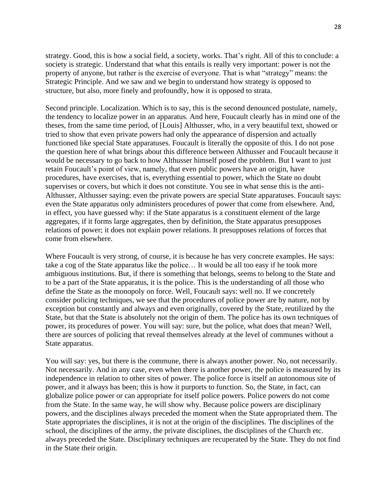strategy. Good, this is how a social field, a society, works. That's right. All of this to conclude: a society is strategic. Understand that what this entails is really very important: power is not the property of anyone, but rather is the exercise of everyone. That is what "strategy" means: the Strategic Principle. And we saw and we begin to understand how strategy is opposed to structure, but also, more finely and profoundly, how it is opposed to strata.

Second principle. Localization. Which is to say, this is the second denounced postulate, namely, the tendency to localize power in an apparatus. And here, Foucault clearly has in mind one of the theses, from the same time period, of [Louis] Althusser, who, in a very beautiful text, showed or tried to show that even private powers had only the appearance of dispersion and actually functioned like special State apparatuses. Foucault is literally the opposite of this. I do not pose the question here of what brings about this difference between Althusser and Foucault because it would be necessary to go back to how Althusser himself posed the problem. But I want to just retain Foucault's point of view, namely, that even public powers have an origin, have procedures, have exercises, that is, everything essential to power, which the State no doubt supervises or covers, but which it does not constitute. You see in what sense this is the anti-Althusser, Althusser saying: even the private powers are special State apparatuses. Foucault says: even the State apparatus only administers procedures of power that come from elsewhere. And, in effect, you have guessed why: if the State apparatus is a constituent element of the large aggregates, if it forms large aggregates, then by definition, the State apparatus presupposes relations of power; it does not explain power relations. It presupposes relations of forces that come from elsewhere.

Where Foucault is very strong, of course, it is because he has very concrete examples. He says: take a cog of the State apparatus like the police… It would be all too easy if he took more ambiguous institutions. But, if there is something that belongs, seems to belong to the State and to be a part of the State apparatus, it is the police. This is the understanding of all those who define the State as the monopoly on force. Well, Foucault says: well no. If we concretely consider policing techniques, we see that the procedures of police power are by nature, not by exception but constantly and always and even originally, covered by the State, reutilized by the State, but that the State is absolutely not the origin of them. The police has its own techniques of power, its procedures of power. You will say: sure, but the police, what does that mean? Well, there are sources of policing that reveal themselves already at the level of communes without a State apparatus.

You will say: yes, but there is the commune, there is always another power. No, not necessarily. Not necessarily. And in any case, even when there is another power, the police is measured by its independence in relation to other sites of power. The police force is itself an autonomous site of power, and it always has been; this is how it purports to function. So, the State, in fact, can globalize police power or can appropriate for itself police powers. Police powers do not come from the State. In the same way, he will show why. Because police powers are disciplinary powers, and the disciplines always preceded the moment when the State appropriated them. The State appropriates the disciplines, it is not at the origin of the disciplines. The disciplines of the school, the disciplines of the army, the private disciplines, the disciplines of the Church etc. always preceded the State. Disciplinary techniques are recuperated by the State. They do not find in the State their origin.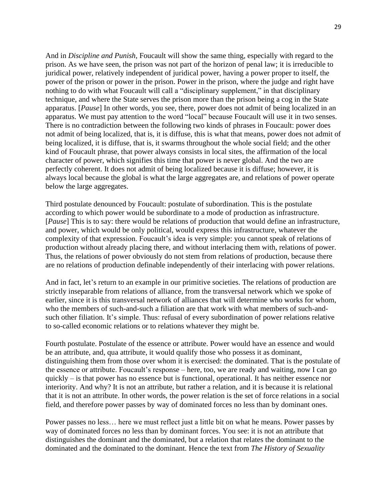And in *Discipline and Punish*, Foucault will show the same thing, especially with regard to the prison. As we have seen, the prison was not part of the horizon of penal law; it is irreducible to juridical power, relatively independent of juridical power, having a power proper to itself, the power of the prison or power in the prison. Power in the prison, where the judge and right have nothing to do with what Foucault will call a "disciplinary supplement," in that disciplinary technique, and where the State serves the prison more than the prison being a cog in the State apparatus. [*Pause*] In other words, you see, there, power does not admit of being localized in an apparatus. We must pay attention to the word "local" because Foucault will use it in two senses. There is no contradiction between the following two kinds of phrases in Foucault: power does not admit of being localized, that is, it is diffuse, this is what that means, power does not admit of being localized, it is diffuse, that is, it swarms throughout the whole social field; and the other kind of Foucault phrase, that power always consists in local sites, the affirmation of the local character of power, which signifies this time that power is never global. And the two are perfectly coherent. It does not admit of being localized because it is diffuse; however, it is always local because the global is what the large aggregates are, and relations of power operate below the large aggregates.

Third postulate denounced by Foucault: postulate of subordination. This is the postulate according to which power would be subordinate to a mode of production as infrastructure. [*Pause*] This is to say: there would be relations of production that would define an infrastructure, and power, which would be only political, would express this infrastructure, whatever the complexity of that expression. Foucault's idea is very simple: you cannot speak of relations of production without already placing there, and without interlacing them with, relations of power. Thus, the relations of power obviously do not stem from relations of production, because there are no relations of production definable independently of their interlacing with power relations.

And in fact, let's return to an example in our primitive societies. The relations of production are strictly inseparable from relations of alliance, from the transversal network which we spoke of earlier, since it is this transversal network of alliances that will determine who works for whom, who the members of such-and-such a filiation are that work with what members of such-andsuch other filiation. It's simple. Thus: refusal of every subordination of power relations relative to so-called economic relations or to relations whatever they might be.

Fourth postulate. Postulate of the essence or attribute. Power would have an essence and would be an attribute, and, qua attribute, it would qualify those who possess it as dominant, distinguishing them from those over whom it is exercised: the dominated. That is the postulate of the essence or attribute. Foucault's response – here, too, we are ready and waiting, now I can go quickly – is that power has no essence but is functional, operational. It has neither essence nor interiority. And why? It is not an attribute, but rather a relation, and it is because it is relational that it is not an attribute. In other words, the power relation is the set of force relations in a social field, and therefore power passes by way of dominated forces no less than by dominant ones.

Power passes no less… here we must reflect just a little bit on what he means. Power passes by way of dominated forces no less than by dominant forces. You see: it is not an attribute that distinguishes the dominant and the dominated, but a relation that relates the dominant to the dominated and the dominated to the dominant. Hence the text from *The History of Sexuality*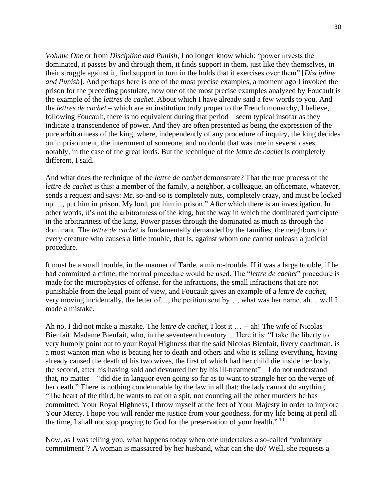*Volume One* or from *Discipline and Punish*, I no longer know which: "power invests the dominated, it passes by and through them, it finds support in them, just like they themselves, in their struggle against it, find support in turn in the holds that it exercises over them" [*Discipline and Punish*]. And perhaps here is one of the most precise examples, a moment ago I invoked the prison for the preceding postulate, now one of the most precise examples analyzed by Foucault is the example of the *lettres de cachet*. About which I have already said a few words to you. And the *lettres de cachet* – which are an institution truly proper to the French monarchy, I believe, following Foucault, there is no equivalent during that period – seem typical insofar as they indicate a transcendence of power. And they are often presented as being the expression of the pure arbitrariness of the king, where, independently of any procedure of inquiry, the king decides on imprisonment, the internment of someone, and no doubt that was true in several cases, notably, in the case of the great lords. But the technique of the *lettre de cachet* is completely different, I said.

And what does the technique of the *lettre de cachet* demonstrate? That the true process of the *lettre de cachet* is this: a member of the family, a neighbor, a colleague, an officemate, whatever, sends a request and says: Mr. so-and-so is completely nuts, completely crazy, and must be locked up …, put him in prison. My lord, put him in prison." After which there is an investigation. In other words, it's not the arbitrariness of the king, but the way in which the dominated participate in the arbitrariness of the king. Power passes through the dominated as much as through the dominant. The *lettre de cachet* is fundamentally demanded by the families, the neighbors for every creature who causes a little trouble, that is, against whom one cannot unleash a judicial procedure.

It must be a small trouble, in the manner of Tarde, a micro-trouble. If it was a large trouble, if he had committed a crime, the normal procedure would be used. The "*lettre de cachet*" procedure is made for the microphysics of offense, for the infractions, the small infractions that are not punishable from the legal point of view, and Foucault gives an example of a *lettre de cachet*, very moving incidentally, the letter of…, the petition sent by…, what was her name, ah… well I made a mistake.

Ah no, I did not make a mistake. The *lettre de cachet,* I lost it … -- ah! The wife of Nicolas Bienfait. Madame Bienfait, who, in the seventeenth century… Here it is: "I take the liberty to very humbly point out to your Royal Highness that the said Nicolas Bienfait, livery coachman, is a most wanton man who is beating her to death and others and who is selling everything, having already caused the death of his two wives, the first of which had her child die inside her body, the second, after his having sold and devoured her by his ill-treatment" – I do not understand that, no matter – "did die in languor even going so far as to want to strangle her on the verge of her death." There is nothing condemnable by the law in all that; the lady cannot do anything. "The heart of the third, he wants to eat on a spit, not counting all the other murders he has committed. Your Royal Highness, I throw myself at the feet of Your Majesty in order to implore Your Mercy. I hope you will render me justice from your goodness, for my life being at peril all the time, I shall not stop praying to God for the preservation of your health."  $^{10}$ 

Now, as I was telling you, what happens today when one undertakes a so-called "voluntary commitment"? A woman is massacred by her husband, what can she do? Well, she requests a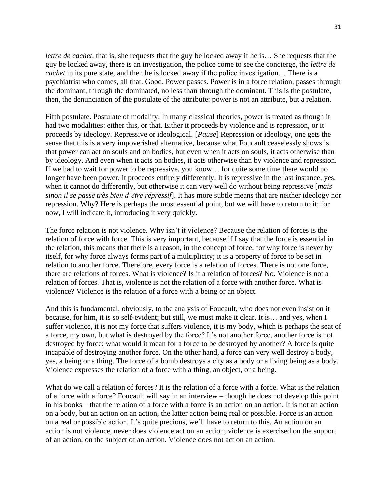*lettre de cachet*, that is, she requests that the guy be locked away if he is… She requests that the guy be locked away, there is an investigation, the police come to see the concierge, the *lettre de cachet* in its pure state, and then he is locked away if the police investigation... There is a psychiatrist who comes, all that. Good. Power passes. Power is in a force relation, passes through the dominant, through the dominated, no less than through the dominant. This is the postulate, then, the denunciation of the postulate of the attribute: power is not an attribute, but a relation.

Fifth postulate. Postulate of modality. In many classical theories, power is treated as though it had two modalities: either this, or that. Either it proceeds by violence and is repression, or it proceeds by ideology. Repressive or ideological. [*Pause*] Repression or ideology, one gets the sense that this is a very impoverished alternative, because what Foucault ceaselessly shows is that power can act on souls and on bodies, but even when it acts on souls, it acts otherwise than by ideology. And even when it acts on bodies, it acts otherwise than by violence and repression. If we had to wait for power to be repressive, you know… for quite some time there would no longer have been power, it proceeds entirely differently. It is repressive in the last instance, yes, when it cannot do differently, but otherwise it can very well do without being repressive [*mais sinon il se passe très bien d'être répressif*]. It has more subtle means that are neither ideology nor repression. Why? Here is perhaps the most essential point, but we will have to return to it; for now, I will indicate it, introducing it very quickly.

The force relation is not violence. Why isn't it violence? Because the relation of forces is the relation of force with force. This is very important, because if I say that the force is essential in the relation, this means that there is a reason, in the concept of force, for why force is never by itself, for why force always forms part of a multiplicity; it is a property of force to be set in relation to another force. Therefore, every force is a relation of forces. There is not one force, there are relations of forces. What is violence? Is it a relation of forces? No. Violence is not a relation of forces. That is, violence is not the relation of a force with another force. What is violence? Violence is the relation of a force with a being or an object.

And this is fundamental, obviously, to the analysis of Foucault, who does not even insist on it because, for him, it is so self-evident; but still, we must make it clear. It is… and yes, when I suffer violence, it is not my force that suffers violence, it is my body, which is perhaps the seat of a force, my own, but what is destroyed by the force? It's not another force, another force is not destroyed by force; what would it mean for a force to be destroyed by another? A force is quite incapable of destroying another force. On the other hand, a force can very well destroy a body, yes, a being or a thing. The force of a bomb destroys a city as a body or a living being as a body. Violence expresses the relation of a force with a thing, an object, or a being.

What do we call a relation of forces? It is the relation of a force with a force. What is the relation of a force with a force? Foucault will say in an interview – though he does not develop this point in his books – that the relation of a force with a force is an action on an action. It is not an action on a body, but an action on an action, the latter action being real or possible. Force is an action on a real or possible action. It's quite precious, we'll have to return to this. An action on an action is not violence, never does violence act on an action; violence is exercised on the support of an action, on the subject of an action. Violence does not act on an action.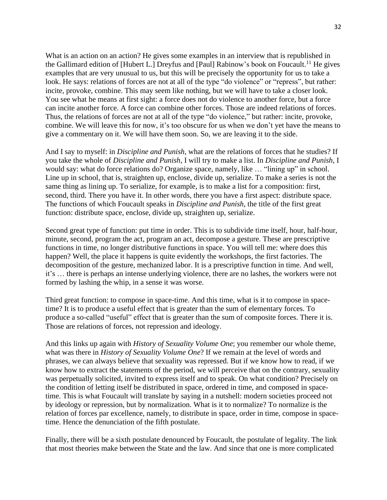What is an action on an action? He gives some examples in an interview that is republished in the Gallimard edition of [Hubert L.] Dreyfus and [Paul] Rabinow's book on Foucault.<sup>11</sup> He gives examples that are very unusual to us, but this will be precisely the opportunity for us to take a look. He says: relations of forces are not at all of the type "do violence" or "repress", but rather: incite, provoke, combine. This may seem like nothing, but we will have to take a closer look. You see what he means at first sight: a force does not do violence to another force, but a force can incite another force. A force can combine other forces. Those are indeed relations of forces. Thus, the relations of forces are not at all of the type "do violence," but rather: incite, provoke, combine. We will leave this for now, it's too obscure for us when we don't yet have the means to give a commentary on it. We will have them soon. So, we are leaving it to the side.

And I say to myself: in *Discipline and Punish*, what are the relations of forces that he studies? If you take the whole of *Discipline and Punish*, I will try to make a list. In *Discipline and Punish*, I would say: what do force relations do? Organize space, namely, like … "lining up" in school. Line up in school, that is, straighten up, enclose, divide up, serialize. To make a series is not the same thing as lining up. To serialize, for example, is to make a list for a composition: first, second, third. There you have it. In other words, there you have a first aspect: distribute space. The functions of which Foucault speaks in *Discipline and Punish*, the title of the first great function: distribute space, enclose, divide up, straighten up, serialize.

Second great type of function: put time in order. This is to subdivide time itself, hour, half-hour, minute, second, program the act, program an act, decompose a gesture. These are prescriptive functions in time, no longer distributive functions in space. You will tell me: where does this happen? Well, the place it happens is quite evidently the workshops, the first factories. The decomposition of the gesture, mechanized labor. It is a prescriptive function in time. And well, it's … there is perhaps an intense underlying violence, there are no lashes, the workers were not formed by lashing the whip, in a sense it was worse.

Third great function: to compose in space-time. And this time, what is it to compose in spacetime? It is to produce a useful effect that is greater than the sum of elementary forces. To produce a so-called "useful" effect that is greater than the sum of composite forces. There it is. Those are relations of forces, not repression and ideology.

And this links up again with *History of Sexuality Volume One*; you remember our whole theme, what was there in *History of Sexuality Volume One*? If we remain at the level of words and phrases, we can always believe that sexuality was repressed. But if we know how to read, if we know how to extract the statements of the period, we will perceive that on the contrary, sexuality was perpetually solicited, invited to express itself and to speak. On what condition? Precisely on the condition of letting itself be distributed in space, ordered in time, and composed in spacetime. This is what Foucault will translate by saying in a nutshell: modern societies proceed not by ideology or repression, but by normalization. What is it to normalize? To normalize is the relation of forces par excellence, namely, to distribute in space, order in time, compose in spacetime. Hence the denunciation of the fifth postulate.

Finally, there will be a sixth postulate denounced by Foucault, the postulate of legality. The link that most theories make between the State and the law. And since that one is more complicated